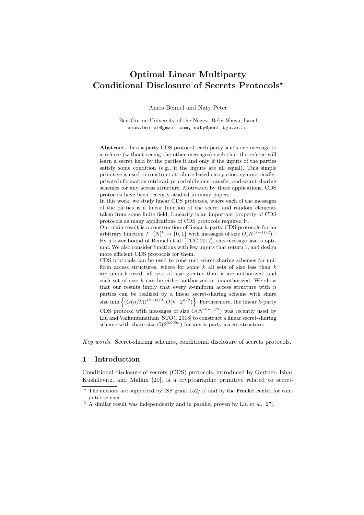# Optimal Linear Multiparty Conditional Disclosure of Secrets Protocols?

Amos Beimel and Naty Peter

Ben-Gurion University of the Negev, Be'er-Sheva, Israel amos.beimel@gmail.com, naty@post.bgu.ac.il

Abstract. In a k-party CDS protocol, each party sends one message to a referee (without seeing the other messages) such that the referee will learn a secret held by the parties if and only if the inputs of the parties satisfy some condition (e.g., if the inputs are all equal). This simple primitive is used to construct attribute based encryption, symmetricallyprivate information retrieval, priced oblivious transfer, and secret-sharing schemes for any access structure. Motivated by these applications, CDS protocols have been recently studied in many papers.

In this work, we study linear CDS protocols, where each of the messages of the parties is a linear function of the secret and random elements taken from some finite field. Linearity is an important property of CDS protocols as many applications of CDS protocols required it.

Our main result is a construction of linear  $k$ -party CDS protocols for an arbitrary function  $f: [N]^k \to \{0, 1\}$  with messages of size  $O(N^{(k-1)/2})$ . By a lower bound of Beimel et al. [TCC 2017], this message size is optimal. We also consider functions with few inputs that return 1, and design more efficient CDS protocols for them.

CDS protocols can be used to construct secret-sharing schemes for uniform access structures, where for some  $k$  all sets of size less than  $k$ are unauthorized, all sets of size greater than  $k$  are authorized, and each set of size  $k$  can be either authorized or unauthorized. We show that our results imply that every  $k$ -uniform access structure with  $n$ parties can be realized by a linear secret-sharing scheme with share size min  $\{(O(n/k))^{(k-1)/2}, O(n \cdot 2^{n/2})\}$ . Furthermore, the linear k-party

CDS protocol with messages of size  $O(N^{(k-1)/2})$  was recently used by Liu and Vaikuntanathan [STOC 2018] to construct a linear secret-sharing scheme with share size  $O(2^{0.999n})$  for any n-party access structure.

Key words. Secret-sharing schemes, conditional disclosure of secrets protocols.

## 1 Introduction

Conditional disclosure of secrets (CDS) protocols, introduced by Gertner, Ishai, Kushilevitz, and Malkin [20], is a cryptographic primitive related to secret-

<sup>?</sup> The authors are supported by ISF grant 152/17 and by the Frankel center for computer science.

 $1$  A similar result was independently and in parallel proven by Liu et al. [27].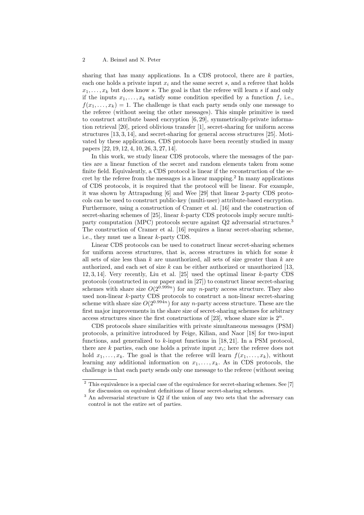sharing that has many applications. In a CDS protocol, there are  $k$  parties, each one holds a private input  $x_i$  and the same secret s, and a referee that holds  $x_1, \ldots, x_k$  but does know s. The goal is that the referee will learn s if and only if the inputs  $x_1, \ldots, x_k$  satisfy some condition specified by a function f, i.e.,  $f(x_1, \ldots, x_k) = 1$ . The challenge is that each party sends only one message to the referee (without seeing the other messages). This simple primitive is used to construct attribute based encryption [6, 29], symmetrically-private information retrieval [20], priced oblivious transfer [1], secret-sharing for uniform access structures [13, 3, 14], and secret-sharing for general access structures [25]. Motivated by these applications, CDS protocols have been recently studied in many papers [22, 19, 12, 4, 10, 26, 3, 27, 14].

In this work, we study linear CDS protocols, where the messages of the parties are a linear function of the secret and random elements taken from some finite field. Equivalently, a CDS protocol is linear if the reconstruction of the secret by the referee from the messages is a linear mapping.<sup>2</sup> In many applications of CDS protocols, it is required that the protocol will be linear. For example, it was shown by Attrapadung [6] and Wee [29] that linear 2-party CDS protocols can be used to construct public-key (multi-user) attribute-based encryption. Furthermore, using a construction of Cramer et al. [16] and the construction of secret-sharing schemes of [25], linear k-party CDS protocols imply secure multiparty computation (MPC) protocols secure against Q2 adversarial structures.<sup>3</sup> The construction of Cramer et al. [16] requires a linear secret-sharing scheme, i.e., they must use a linear k-party CDS.

Linear CDS protocols can be used to construct linear secret-sharing schemes for uniform access structures, that is, access structures in which for some  $k$ all sets of size less than  $k$  are unauthorized, all sets of size greater than  $k$  are authorized, and each set of size k can be either authorized or unauthorized  $[13,$ 12, 3, 14]. Very recently, Liu et al. [25] used the optimal linear k-party CDS protocols (constructed in our paper and in [27]) to construct linear secret-sharing schemes with share size  $O(2^{0.999n})$  for any *n*-party access structure. They also used non-linear k-party CDS protocols to construct a non-linear secret-sharing scheme with share size  $O(2^{0.994n})$  for any n-party access structure. These are the first major improvements in the share size of secret-sharing schemes for arbitrary access structures since the first constructions of [23], whose share size is  $2^n$ .

CDS protocols share similarities with private simultaneous messages (PSM) protocols, a primitive introduced by Feige, Kilian, and Naor [18] for two-input functions, and generalized to  $k$ -input functions in [18, 21]. In a PSM protocol, there are  $k$  parties, each one holds a private input  $x_i$ ; here the referee does not hold  $x_1, \ldots, x_k$ . The goal is that the referee will learn  $f(x_1, \ldots, x_k)$ , without learning any additional information on  $x_1, \ldots, x_k$ . As in CDS protocols, the challenge is that each party sends only one message to the referee (without seeing

<sup>&</sup>lt;sup>2</sup> This equivalence is a special case of the equivalence for secret-sharing schemes. See [7] for discussion on equivalent definitions of linear secret-sharing schemes.

<sup>&</sup>lt;sup>3</sup> An adversarial structure is Q2 if the union of any two sets that the adversary can control is not the entire set of parties.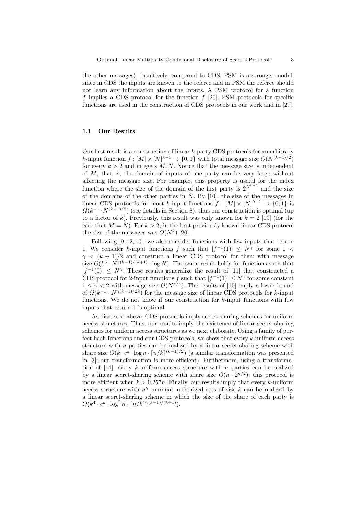the other messages). Intuitively, compared to CDS, PSM is a stronger model, since in CDS the inputs are known to the referee and in PSM the referee should not learn any information about the inputs. A PSM protocol for a function f implies a CDS protocol for the function  $f$  [20]. PSM protocols for specific functions are used in the construction of CDS protocols in our work and in [27].

## 1.1 Our Results

Our first result is a construction of linear  $k$ -party CDS protocols for an arbitrary k-input function  $f: [M] \times [N]^{k-1} \to \{0,1\}$  with total message size  $O(N^{(k-1)/2})$ for every  $k > 2$  and integers M, N. Notice that the message size is independent of M, that is, the domain of inputs of one party can be very large without affecting the message size. For example, this property is useful for the index function where the size of the domain of the first party is  $2^{N^{k-1}}$  and the size of the domains of the other parties in  $N$ . By [10], the size of the messages in linear CDS protocols for most k-input functions  $f: [M] \times [N]^{k-1} \to \{0,1\}$  is  $\Omega(k^{-1} \cdot N^{(k-1)/2})$  (see details in Section 8), thus our construction is optimal (up to a factor of k). Previously, this result was only known for  $k = 2$  [19] (for the case that  $M = N$ ). For  $k > 2$ , in the best previously known linear CDS protocol the size of the messages was  $O(N^k)$  [20].

Following [9, 12, 10], we also consider functions with few inputs that return 1. We consider k-input functions f such that  $|f^{-1}(1)| \leq N^{\gamma}$  for some 0 <  $\gamma$  <  $(k + 1)/2$  and construct a linear CDS protocol for them with message size  $O(k^3 \cdot N^{\gamma(k-1)/(k+1)} \cdot \log N)$ . The same result holds for functions such that  $|f^{-1}(0)| \leq N^{\gamma}$ . These results generalize the result of [11] that constructed a CDS protocol for 2-input functions f such that  $|f^{-1}(1)| \leq N^{\gamma}$  for some constant  $1 \leq \gamma < 2$  with message size  $\tilde{O}(N^{\gamma/4})$ . The results of [10] imply a lower bound of  $\Omega(k^{-1} \cdot N^{\gamma(k-1)/2k})$  for the message size of linear CDS protocols for k-input functions. We do not know if our construction for  $k$ -input functions with few inputs that return 1 is optimal.

As discussed above, CDS protocols imply secret-sharing schemes for uniform access structures. Thus, our results imply the existence of linear secret-sharing schemes for uniform access structures as we next elaborate. Using a family of perfect hash functions and our CDS protocols, we show that every  $k$ -uniform access structure with  $n$  parties can be realized by a linear secret-sharing scheme with share size  $O(k \cdot e^{k} \cdot \log n \cdot \lceil n/k \rceil^{(k-1)/2})$  (a similar transformation was presented in [3]; our transformation is more efficient). Furthermore, using a transformation of  $[14]$ , every k-uniform access structure with n parties can be realized by a linear secret-sharing scheme with share size  $O(n \cdot 2^{n/2})$ ; this protocol is more efficient when  $k > 0.257n$ . Finally, our results imply that every k-uniform access structure with  $n^{\gamma}$  minimal authorized sets of size k can be realized by a linear secret-sharing scheme in which the size of the share of each party is  $O(k^4 \cdot e^k \cdot \log^2 n \cdot \lceil n/k \rceil^{\gamma(k-1)/(k+1)}).$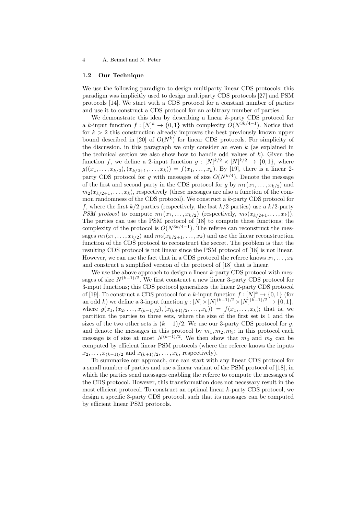#### 1.2 Our Technique

We use the following paradigm to design multiparty linear CDS protocols; this paradigm was implicitly used to design multiparty CDS protocols [27] and PSM protocols [14]. We start with a CDS protocol for a constant number of parties and use it to construct a CDS protocol for an arbitrary number of parties.

We demonstrate this idea by describing a linear k-party CDS protocol for a k-input function  $f: [N]^k \to \{0,1\}$  with complexity  $O(N^{3k/4-1})$ . Notice that for  $k > 2$  this construction already improves the best previously known upper bound described in [20] of  $O(N^k)$  for linear CDS protocols. For simplicity of the discussion, in this paragraph we only consider an even  $k$  (as explained in the technical section we also show how to handle odd values of  $k$ ). Given the function f, we define a 2-input function  $g: [N]^{k/2} \times [N]^{k/2} \rightarrow \{0,1\}$ , where  $g((x_1, \ldots, x_{k/2}), (x_{k/2+1}, \ldots, x_k)) = f(x_1, \ldots, x_k)$ . By [19], there is a linear 2party CDS protocol for g with messages of size  $O(N^{k/4})$ . Denote the message of the first and second party in the CDS protocol for g by  $m_1(x_1, \ldots, x_{k/2})$  and  $m_2(x_{k/2+1}, \ldots, x_k)$ , respectively (these messages are also a function of the common randomness of the CDS protocol). We construct a k-party CDS protocol for f, where the first  $k/2$  parties (respectively, the last  $k/2$  parties) use a  $k/2$ -party PSM protocol to compute  $m_1(x_1, \ldots, x_{k/2})$  (respectively,  $m_2(x_{k/2+1}, \ldots, x_k)$ ). The parties can use the PSM protocol of [18] to compute these functions; the complexity of the protocol is  $O(N^{3k/4-1})$ . The referee can reconstruct the messages  $m_1(x_1, \ldots, x_{k/2})$  and  $m_2(x_{k/2+1}, \ldots, x_k)$  and use the linear reconstruction function of the CDS protocol to reconstruct the secret. The problem is that the resulting CDS protocol is not linear since the PSM protocol of [18] is not linear. However, we can use the fact that in a CDS protocol the referee knows  $x_1, \ldots, x_k$ and construct a simplified version of the protocol of [18] that is linear.

We use the above approach to design a linear  $k$ -party CDS protocol with messages of size  $N^{(k-1)/2}$ . We first construct a new linear 3-party CDS protocol for 3-input functions; this CDS protocol generalizes the linear 2-party CDS protocol of [19]. To construct a CDS protocol for a k-input function  $f: [N]^k \to \{0,1\}$  (for an odd k) we define a 3-input function  $g: [N] \times [N]^{(k-1)/2} \times [N]^{(k-1)/2} \to \{0, 1\},$ where  $g(x_1,(x_2,\ldots,x_{(k-1)/2}), (x_{(k+1)/2},\ldots,x_k)) = f(x_1,\ldots,x_k)$ ; that is, we partition the parties to three sets, where the size of the first set is 1 and the sizes of the two other sets is  $(k-1)/2$ . We use our 3-party CDS protocol for g, and denote the messages in this protocol by  $m_1, m_2, m_3$ ; in this protocol each message is of size at most  $N^{(k-1)/2}$ . We then show that  $m_2$  and  $m_3$  can be computed by efficient linear PSM protocols (where the referee knows the inputs  $x_2, \ldots, x_{(k-1)/2}$  and  $x_{(k+1)/2}, \ldots, x_k$ , respectively).

To summarize our approach, one can start with any linear CDS protocol for a small number of parties and use a linear variant of the PSM protocol of [18], in which the parties send messages enabling the referee to compute the messages of the CDS protocol. However, this transformation does not necessary result in the most efficient protocol. To construct an optimal linear k-party CDS protocol, we design a specific 3-party CDS protocol, such that its messages can be computed by efficient linear PSM protocols.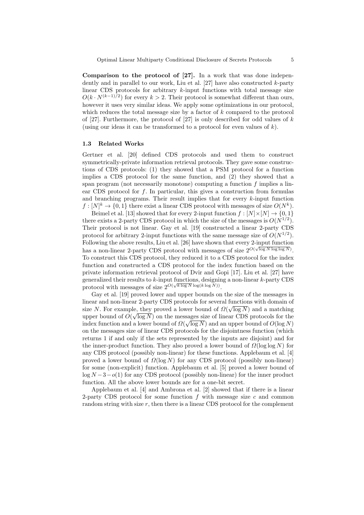Comparison to the protocol of [27]. In a work that was done independently and in parallel to our work, Liu et al.  $[27]$  have also constructed k-party linear CDS protocols for arbitrary  $k$ -input functions with total message size  $O(k \cdot N^{(k-1)/2})$  for every  $k > 2$ . Their protocol is somewhat different than ours, however it uses very similar ideas. We apply some optimizations in our protocol, which reduces the total message size by a factor of  $k$  compared to the protocol of [27]. Furthermore, the protocol of [27] is only described for odd values of  $k$ (using our ideas it can be transformed to a protocol for even values of  $k$ ).

## 1.3 Related Works

Gertner et al. [20] defined CDS protocols and used them to construct symmetrically-private information retrieval protocols. They gave some constructions of CDS protocols: (1) they showed that a PSM protocol for a function implies a CDS protocol for the same function, and (2) they showed that a span program (not necessarily monotone) computing a function  $f$  implies a linear CDS protocol for  $f$ . In particular, this gives a construction from formulas and branching programs. Their result implies that for every  $k$ -input function  $f: [N]^k \to \{0,1\}$  there exist a linear CDS protocol with messages of size  $O(N^k)$ .

Beimel et al. [13] showed that for every 2-input function  $f : [N] \times [N] \rightarrow \{0, 1\}$ there exists a 2-party CDS protocol in which the size of the messages is  $O(N^{1/2})$ . Their protocol is not linear. Gay et al. [19] constructed a linear 2-party CDS protocol for arbitrary 2-input functions with the same message size of  $O(N^{1/2})$ . Following the above results, Liu et al. [26] have shown that every 2-input function has a non-linear 2-party CDS protocol with messages of size  $2^{O(\sqrt{\log N \log \log N})}$ . To construct this CDS protocol, they reduced it to a CDS protocol for the index function and constructed a CDS protocol for the index function based on the private information retrieval protocol of Dvir and Gopi [17]. Liu et al. [27] have generalized their results to k-input functions, designing a non-linear k-party CDS protocol with messages of size  $2^{O(\sqrt{k \log N} \log(k \log N))}$ .

Gay et al. [19] proved lower and upper bounds on the size of the messages in linear and non-linear 2-party CDS protocols for several functions with domain of √ size N. For example, they proved a lower bound of  $\Omega(\sqrt{\log N})$  and a matching upper bound of  $O(\sqrt{\log N})$  on the messages size of linear CDS protocols for the index function and a lower bound of  $\Omega(\sqrt{\log N})$  and an upper bound of  $O(\log N)$ on the messages size of linear CDS protocols for the disjointness function (which returns 1 if and only if the sets represented by the inputs are disjoint) and for the inner-product function. They also proved a lower bound of  $\Omega(\log \log N)$  for any CDS protocol (possibly non-linear) for these functions. Applebaum et al. [4] proved a lower bound of  $\Omega(\log N)$  for any CDS protocol (possibly non-linear) for some (non-explicit) function. Applebaum et al. [5] proved a lower bound of  $\log N - 3 - o(1)$  for any CDS protocol (possibly non-linear) for the inner product function. All the above lower bounds are for a one-bit secret.

Applebaum et al. [4] and Ambrona et al. [2] showed that if there is a linear 2-party CDS protocol for some function  $f$  with message size  $c$  and common random string with size  $r$ , then there is a linear CDS protocol for the complement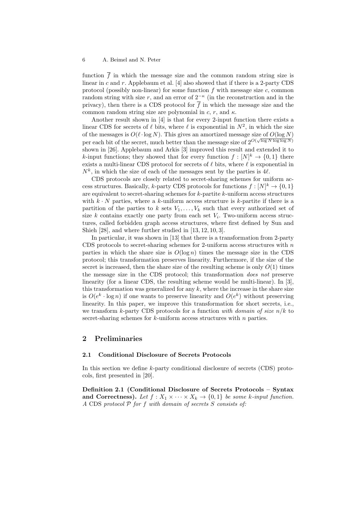function  $\overline{f}$  in which the message size and the common random string size is linear in c and r. Applebaum et al. [4] also showed that if there is a 2-party CDS protocol (possibly non-linear) for some function  $f$  with message size  $c$ , common random string with size r, and an error of  $2^{-\kappa}$  (in the reconstruction and in the privacy), then there is a CDS protocol for  $\bar{f}$  in which the message size and the common random string size are polynomial in  $c, r$ , and  $\kappa$ .

Another result shown in [4] is that for every 2-input function there exists a linear CDS for secrets of  $\ell$  bits, where  $\ell$  is exponential in  $N^2$ , in which the size of the messages is  $O(\ell \cdot \log N)$ . This gives an amortized message size of  $O(\log N)$ per each bit of the secret, much better than the message size of  $2^{O(\sqrt{\log N} \log \log N)}$ shown in [26]. Applebaum and Arkis [3] improved this result and extended it to k-input functions; they showed that for every function  $f: [N]^k \to \{0,1\}$  there exists a multi-linear CDS protocol for secrets of  $\ell$  bits, where  $\ell$  is exponential in  $N^k$ , in which the size of each of the messages sent by the parties is 4 $\ell$ .

CDS protocols are closely related to secret-sharing schemes for uniform access structures. Basically, k-party CDS protocols for functions  $f: [N]^k \to \{0,1\}$ are equivalent to secret-sharing schemes for  $k$ -partite  $k$ -uniform access structures with  $k \cdot N$  parties, where a k-uniform access structure is k-partite if there is a partition of the parties to k sets  $V_1, \ldots, V_k$  such that every authorized set of size  $k$  contains exactly one party from each set  $V_i$ . Two-uniform access structures, called forbidden graph access structures, where first defined by Sun and Shieh [28], and where further studied in [13, 12, 10, 3].

In particular, it was shown in [13] that there is a transformation from 2-party CDS protocols to secret-sharing schemes for 2-uniform access structures with  $n$ parties in which the share size is  $O(\log n)$  times the message size in the CDS protocol; this transformation preserves linearity. Furthermore, if the size of the secret is increased, then the share size of the resulting scheme is only  $O(1)$  times the message size in the CDS protocol; this transformation does not preserve linearity (for a linear CDS, the resulting scheme would be multi-linear). In [3], this transformation was generalized for any  $k$ , where the increase in the share size is  $O(e^k \cdot \log n)$  if one wants to preserve linearity and  $O(e^k)$  without preserving linearity. In this paper, we improve this transformation for short secrets, i.e., we transform k-party CDS protocols for a function with domain of size  $n/k$  to secret-sharing schemes for  $k$ -uniform access structures with  $n$  parties.

## 2 Preliminaries

#### 2.1 Conditional Disclosure of Secrets Protocols

In this section we define k-party conditional disclosure of secrets (CDS) protocols, first presented in [20].

Definition 2.1 (Conditional Disclosure of Secrets Protocols – Syntax and Correctness). Let  $f: X_1 \times \cdots \times X_k \rightarrow \{0,1\}$  be some k-input function.  $A$  CDS protocol  $P$  for  $f$  with domain of secrets  $S$  consists of: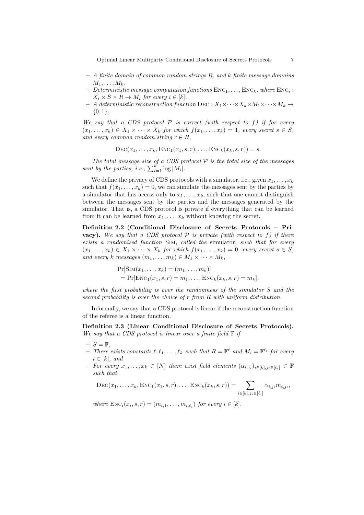Optimal Linear Multiparty Conditional Disclosure of Secrets Protocols 7

- $-$  A finite domain of common random strings R, and k finite message domains  $M_1, \ldots, M_k$ .
- $-$  Deterministic message computation functions  $\text{Enc}_{1}, \ldots, \text{Enc}_{k}$ , where  $\text{Enc}_{i}$ :  $X_i \times S \times R \rightarrow M_i$  for every  $i \in [k]$ .
- $A$  deterministic reconstruction function DEC :  $X_1 \times \cdots \times X_k \times M_1 \times \cdots \times M_k \rightarrow$  ${0,1}.$

We say that a CDS protocol  $P$  is correct (with respect to f) if for every  $(x_1, \ldots, x_k) \in X_1 \times \cdots \times X_k$  for which  $f(x_1, \ldots, x_k) = 1$ , every secret  $s \in S$ , and every common random string  $r \in R$ ,

$$
\mathrm{DEC}(x_1,\ldots,x_k,\mathrm{ENC}_1(x_1,s,r),\ldots,\mathrm{ENC}_k(x_k,s,r))=s.
$$

The total message size of a CDS protocol  $P$  is the total size of the messages sent by the parties, i.e.,  $\sum_{i=1}^{k} \log |M_i|$ .

We define the privacy of CDS protocols with a simulator, i.e., given  $x_1, \ldots, x_k$ such that  $f(x_1, \ldots, x_k) = 0$ , we can simulate the messages sent by the parties by a simulator that has access only to  $x_1, \ldots, x_k$ , such that one cannot distinguish between the messages sent by the parties and the messages generated by the simulator. That is, a CDS protocol is private if everything that can be learned from it can be learned from  $x_1, \ldots, x_k$  without knowing the secret.

Definition 2.2 (Conditional Disclosure of Secrets Protocols – Pri**vacy**). We say that a CDS protocol  $P$  is private (with respect to f) if there exists a randomized function Sim, called the simulator, such that for every  $(x_1, \ldots, x_k) \in X_1 \times \cdots \times X_k$  for which  $f(x_1, \ldots, x_k) = 0$ , every secret  $s \in S$ , and every k messages  $(m_1, \ldots, m_k) \in M_1 \times \cdots \times M_k$ ,

$$
Pr[SIM(x_1,...,x_k) = (m_1,...,m_k)]
$$
  
= 
$$
Pr[ENC_1(x_1,s,r) = m_1,...,ENC_k(x_k,s,r) = m_k],
$$

where the first probability is over the randomness of the simulator S and the second probability is over the choice of r from R with uniform distribution.

Informally, we say that a CDS protocol is linear if the reconstruction function of the referee is a linear function.

Definition 2.3 (Linear Conditional Disclosure of Secrets Protocols). We say that a CDS protocol is linear over a finite field  $\mathbb F$  if

- $S = \mathbb{F}$ .
- There exists constants  $\ell, \ell_1, \ldots, \ell_k$  such that  $R = \mathbb{F}^{\ell}$  and  $M_i = \mathbb{F}^{\ell_i}$  for every  $i \in [k]$ , and
- $-$  For every  $x_1, \ldots, x_k \in [N]$  there exist field elements  $(\alpha_{i,j_i})_{i \in [k], j_i \in [\ell_i]} \in \mathbb{F}$ such that

 $\text{DEC}(x_1, \ldots, x_k, \text{ENC}_1(x_1, s, r), \ldots, \text{ENC}_k(x_k, s, r)) = \sum$  $i \in [k], j_i \in [\ell_i]$  $\alpha_{i,j_i} m_{i,j_i},$ 

where  $\text{Enc}_i(x_i, s, r) = (m_{i,1}, \ldots, m_{i,\ell_i})$  for every  $i \in [k]$ .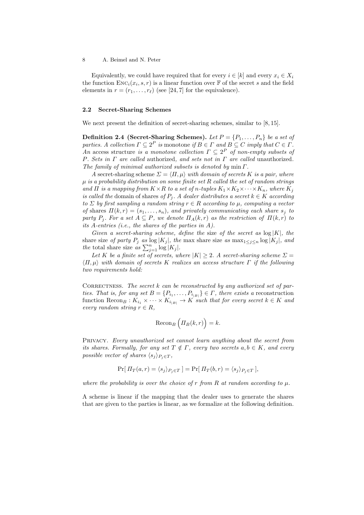Equivalently, we could have required that for every  $i \in [k]$  and every  $x_i \in X_i$ the function  $\text{Enc}_{i}(x_i, s, r)$  is a linear function over  $\mathbb{F}$  of the secret s and the field elements in  $r = (r_1, \ldots, r_\ell)$  (see [24, 7] for the equivalence).

## 2.2 Secret-Sharing Schemes

We next present the definition of secret-sharing schemes, similar to [8, 15].

**Definition 2.4 (Secret-Sharing Schemes).** Let  $P = \{P_1, \ldots, P_n\}$  be a set of parties. A collection  $\Gamma \subseteq 2^P$  is monotone if  $B \in \Gamma$  and  $B \subseteq C$  imply that  $C \in \Gamma$ . An access structure is a monotone collection  $\Gamma \subseteq 2^P$  of non-empty subsets of P. Sets in Γ are called authorized, and sets not in Γ are called unauthorized. The family of minimal authorized subsets is denoted by  $\min \Gamma$ .

A secret-sharing scheme  $\Sigma = \langle \Pi, \mu \rangle$  with domain of secrets K is a pair, where  $\mu$  is a probability distribution on some finite set R called the set of random strings and  $\Pi$  is a mapping from  $K \times R$  to a set of n-tuples  $K_1 \times K_2 \times \cdots \times K_n$ , where  $K_j$ is called the domain of shares of  $P_j$ . A dealer distributes a secret  $k \in K$  according to  $\Sigma$  by first sampling a random string  $r \in R$  according to  $\mu$ , computing a vector of shares  $\Pi(k,r) = (s_1, \ldots, s_n)$ , and privately communicating each share  $s_i$  to party  $P_i$ . For a set  $A \subseteq P$ , we denote  $\Pi_A(k,r)$  as the restriction of  $\Pi(k,r)$  to its A-entries (i.e., the shares of the parties in A).

Given a secret-sharing scheme, define the size of the secret as  $log|K|$ , the share size of party  $P_i$  as  $\log |K_i|$ , the max share size as  $\max_{1 \leq i \leq n} \log |K_i|$ , and the total share size as  $\sum_{j=1}^{n} \log |K_j|$ .

Let K be a finite set of secrets, where  $|K| \geq 2$ . A secret-sharing scheme  $\Sigma =$  $\langle \Pi, \mu \rangle$  with domain of secrets K realizes an access structure  $\Gamma$  if the following two requirements hold:

CORRECTNESS. The secret  $k$  can be reconstructed by any authorized set of parties. That is, for any set  $B = \{P_{i_1}, \ldots, P_{i_{|B|}}\} \in \Gamma$ , there exists a reconstruction function  $\text{Recon}_B : K_{i_1} \times \cdots \times K_{i_{|B|}} \to K$  such that for every secret  $k \in K$  and every random string  $r \in R$ ,

$$
\operatorname{Recon}_B\left(\Pi_B(k,r)\right) = k.
$$

PRIVACY. Every unauthorized set cannot learn anything about the secret from its shares. Formally, for any set  $T \notin \Gamma$ , every two secrets  $a, b \in K$ , and every possible vector of shares  $\langle s_j \rangle_{P_i \in T}$ ,

$$
\Pr[\Pi_T(a,r) = \langle s_j \rangle_{P_j \in T}] = \Pr[\Pi_T(b,r) = \langle s_j \rangle_{P_j \in T}],
$$

where the probability is over the choice of r from R at random according to  $\mu$ .

A scheme is linear if the mapping that the dealer uses to generate the shares that are given to the parties is linear, as we formalize at the following definition.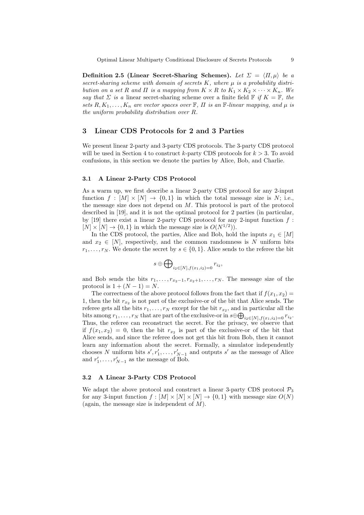Definition 2.5 (Linear Secret-Sharing Schemes). Let  $\Sigma = \langle \Pi, \mu \rangle$  be a secret-sharing scheme with domain of secrets  $K$ , where  $\mu$  is a probability distribution on a set R and  $\Pi$  is a mapping from  $K \times R$  to  $K_1 \times K_2 \times \cdots \times K_n$ . We say that  $\Sigma$  is a linear secret-sharing scheme over a finite field  $\mathbb{F}$  if  $K = \mathbb{F}$ , the sets R,  $K_1, \ldots, K_n$  are vector spaces over  $\mathbb{F}, \Pi$  is an  $\mathbb{F}\text{-}linear$  mapping, and  $\mu$  is the uniform probability distribution over R.

## 3 Linear CDS Protocols for 2 and 3 Parties

We present linear 2-party and 3-party CDS protocols. The 3-party CDS protocol will be used in Section 4 to construct k-party CDS protocols for  $k > 3$ . To avoid confusions, in this section we denote the parties by Alice, Bob, and Charlie.

## 3.1 A Linear 2-Party CDS Protocol

As a warm up, we first describe a linear 2-party CDS protocol for any 2-input function  $f : [M] \times [N] \rightarrow \{0, 1\}$  in which the total message size is N; i.e., the message size does not depend on M. This protocol is part of the protocol described in [19], and it is not the optimal protocol for 2 parties (in particular, by [19] there exist a linear 2-party CDS protocol for any 2-input function  $f$ :  $[N] \times [N] \rightarrow \{0, 1\}$  in which the message size is  $O(N^{1/2})$ .

In the CDS protocol, the parties, Alice and Bob, hold the inputs  $x_1 \in [M]$ and  $x_2 \in [N]$ , respectively, and the common randomness is N uniform bits  $r_1, \ldots, r_N$ . We denote the secret by  $s \in \{0, 1\}$ . Alice sends to the referee the bit

$$
s\oplus\bigoplus\nolimits_{i_2\in[N],f(x_1,i_2)=0}r_{i_2},
$$

and Bob sends the bits  $r_1, \ldots, r_{x_2-1}, r_{x_2+1}, \ldots, r_N$ . The message size of the protocol is  $1 + (N - 1) = N$ .

The correctness of the above protocol follows from the fact that if  $f(x_1, x_2) =$ 1, then the bit  $r_{x_2}$  is not part of the exclusive-or of the bit that Alice sends. The referee gets all the bits  $r_1, \ldots, r_N$  except for the bit  $r_{x_2}$ , and in particular all the bits among  $r_1, \ldots, r_N$  that are part of the exclusive-or in  $s \oplus \bigoplus_{i_2 \in [N], f(x_1, i_2) = 0} r_{i_2}$ . Thus, the referee can reconstruct the secret. For the privacy, we observe that if  $f(x_1, x_2) = 0$ , then the bit  $r_{x_2}$  is part of the exclusive-or of the bit that Alice sends, and since the referee does not get this bit from Bob, then it cannot learn any information about the secret. Formally, a simulator independently chooses N uniform bits  $s', r'_1, \ldots, r'_{N-1}$  and outputs s' as the message of Alice and  $r'_1, \ldots, r'_{N-1}$  as the message of Bob.

## 3.2 A Linear 3-Party CDS Protocol

We adapt the above protocol and construct a linear 3-party CDS protocol  $P_3$ for any 3-input function  $f : [M] \times [N] \times [N] \rightarrow \{0,1\}$  with message size  $O(N)$ (again, the message size is independent of  $M$ ).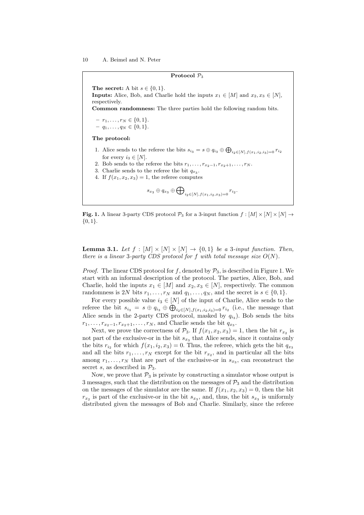#### Protocol  $P_3$

The secret: A bit  $s \in \{0,1\}$ .

**Inputs:** Alice, Bob, and Charlie hold the inputs  $x_1 \in [M]$  and  $x_2, x_3 \in [N]$ , respectively.

Common randomness: The three parties hold the following random bits.

 $-r_1, \ldots, r_N \in \{0, 1\}.$  $q_1, \ldots, q_N \in \{0, 1\}.$ 

The protocol:

- 1. Alice sends to the referee the bits  $s_{i_3} = s \oplus q_{i_3} \oplus \bigoplus_{i_2 \in [N], f(x_1, i_2, i_3) = 0} r_{i_2}$ for every  $i_3 \in [N]$ .
- 2. Bob sends to the referee the bits  $r_1, \ldots, r_{x_2-1}, r_{x_2+1}, \ldots, r_N$ .
- 3. Charlie sends to the referee the bit  $q_{x_3}$ .
- 4. If  $f(x_1, x_2, x_3) = 1$ , the referee computes

$$
s_{x_3}\oplus q_{x_3}\oplus\bigoplus\nolimits_{i_2\in[N],f(x_1,i_2,x_3)=0}r_{i_2}.
$$

**Fig. 1.** A linear 3-party CDS protocol  $\mathcal{P}_3$  for a 3-input function  $f : [M] \times [N] \times [N] \rightarrow$  $\{0,1\}.$ 

**Lemma 3.1.** Let  $f : [M] \times [N] \times [N] \rightarrow \{0,1\}$  be a 3-input function. Then, there is a linear 3-party CDS protocol for f with total message size  $O(N)$ .

*Proof.* The linear CDS protocol for f, denoted by  $P_3$ , is described in Figure 1. We start with an informal description of the protocol. The parties, Alice, Bob, and Charlie, hold the inputs  $x_1 \in [M]$  and  $x_2, x_3 \in [N]$ , respectively. The common randomness is 2N bits  $r_1, \ldots, r_N$  and  $q_1, \ldots, q_N$ , and the secret is  $s \in \{0, 1\}.$ 

For every possible value  $i_3 \in [N]$  of the input of Charlie, Alice sends to the referee the bit  $s_{i_3} = s \oplus q_{i_3} \oplus \bigoplus_{i_2 \in [N], f(x_1, i_2, i_3) = 0} r_{i_2}$  (i.e., the message that Alice sends in the 2-party CDS protocol, masked by  $q_{i_3}$ ). Bob sends the bits  $r_1, \ldots, r_{x_2-1}, r_{x_2+1}, \ldots, r_N$ , and Charlie sends the bit  $q_{x_3}$ .

Next, we prove the correctness of  $\mathcal{P}_3$ . If  $f(x_1, x_2, x_3) = 1$ , then the bit  $r_{x_2}$  is not part of the exclusive-or in the bit  $s_{x3}$  that Alice sends, since it contains only the bits  $r_{i_2}$  for which  $f(x_1, i_2, x_3) = 0$ . Thus, the referee, which gets the bit  $q_{x_3}$ and all the bits  $r_1, \ldots, r_N$  except for the bit  $r_{x_2}$ , and in particular all the bits among  $r_1, \ldots, r_N$  that are part of the exclusive-or in  $s_{x_3}$ , can reconstruct the secret s, as described in  $\mathcal{P}_3$ .

Now, we prove that  $P_3$  is private by constructing a simulator whose output is 3 messages, such that the distribution on the messages of  $\mathcal{P}_3$  and the distribution on the messages of the simulator are the same. If  $f(x_1, x_2, x_3) = 0$ , then the bit  $r_{x_2}$  is part of the exclusive-or in the bit  $s_{x_3}$ , and, thus, the bit  $s_{x_3}$  is uniformly distributed given the messages of Bob and Charlie. Similarly, since the referee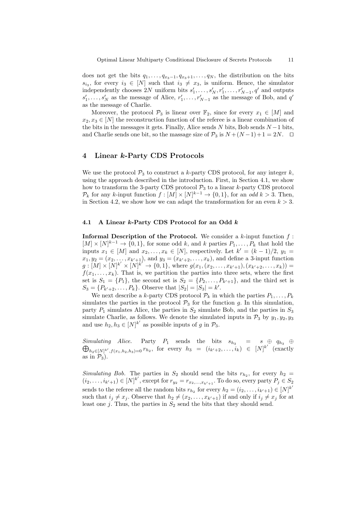does not get the bits  $q_1, \ldots, q_{x_3-1}, q_{x_3+1}, \ldots, q_N$ , the distribution on the bits  $s_{i_3}$ , for every  $i_3 \in [N]$  such that  $i_3 \neq x_3$ , is uniform. Hence, the simulator independently chooses 2N uniform bits  $s'_1, \ldots, s'_N, r'_1, \ldots, r'_{N-1}, q'$  and outputs  $s'_1, \ldots, s'_N$  as the message of Alice,  $r'_1, \ldots, r'_{N-1}$  as the message of Bob, and  $q'$ as the message of Charlie.

Moreover, the protocol  $\mathcal{P}_3$  is linear over  $\mathbb{F}_2$ , since for every  $x_1 \in [M]$  and  $x_2, x_3 \in [N]$  the reconstruction function of the referee is a linear combination of the bits in the messages it gets. Finally, Alice sends  $N$  bits, Bob sends  $N-1$  bits, and Charlie sends one bit, so the massage size of  $\mathcal{P}_3$  is  $N + (N-1) + 1 = 2N$ .  $\Box$ 

## 4 Linear k-Party CDS Protocols

We use the protocol  $P_3$  to construct a k-party CDS protocol, for any integer k, using the approach described in the introduction. First, in Section 4.1, we show how to transform the 3-party CDS protocol  $P_3$  to a linear k-party CDS protocol  $\mathcal{P}_k$  for any k-input function  $f : [M] \times [N]^{k-1} \to \{0,1\}$ , for an *odd*  $k > 3$ . Then, in Section 4.2, we show how we can adapt the transformation for an even  $k > 3$ .

## 4.1 A Linear  $k$ -Party CDS Protocol for an Odd  $k$

**Informal Description of the Protocol.** We consider a  $k$ -input function  $f$ :  $[M] \times [N]^{k-1} \rightarrow \{0,1\}$ , for some odd k, and k parties  $P_1, \ldots, P_k$  that hold the inputs  $x_1 \in [M]$  and  $x_2, \ldots, x_k \in [N]$ , respectively. Let  $k' = (k-1)/2$ ,  $y_1 =$  $x_1, y_2 = (x_2, \ldots, x_{k'+1}),$  and  $y_3 = (x_{k'+2}, \ldots, x_k)$ , and define a 3-input function  $g: [M] \times [N]^{k'} \times [N]^{k'} \to \{0, 1\},$  where  $g(x_1, (x_2, \ldots, x_{k'+1}), (x_{k'+2}, \ldots, x_k)) =$  $f(x_1, \ldots, x_k)$ . That is, we partition the parties into three sets, where the first set is  $S_1 = \{P_1\}$ , the second set is  $S_2 = \{P_2, \ldots, P_{k'+1}\}$ , and the third set is  $S_3 = \{P_{k'+2}, \ldots, P_k\}.$  Observe that  $|S_2| = |S_3| = k'.$ 

We next describe a k-party CDS protocol  $\mathcal{P}_k$  in which the parties  $P_1, \ldots, P_k$ simulates the parties in the protocol  $\mathcal{P}_3$  for the function g. In this simulation, party  $P_1$  simulates Alice, the parties in  $S_2$  simulate Bob, and the parties in  $S_3$ simulate Charlie, as follows. We denote the simulated inputs in  $\mathcal{P}_3$  by  $y_1, y_2, y_3$ and use  $h_2, h_3 \in [N]^{k'}$  as possible inputs of g in  $\mathcal{P}_3$ .

 $\oplus$ Simulating Alice. Party  $P_1$  sends the bits  $s_{h_3} = s \oplus q_{h_3} \oplus$  $h_2 \in [N]^k', f(x_1, h_2, h_3) = 0$   $r_{h_2}$ , for every  $h_3 = (i_{k'+2}, \ldots, i_k) \in [N]^k'$  (exactly as in  $\overline{\mathcal{P}_3}$ ).

Simulating Bob. The parties in  $S_2$  should send the bits  $r_{h_2}$ , for every  $h_2 =$  $(i_2,\ldots,i_{k'+1})\in[N]^{k'}$ , except for  $r_{y_2}=r_{x_2,\ldots,x_{k'+1}}$ . To do so, every party  $P_j\in S_2$ sends to the referee all the random bits  $r_{h_2}$  for every  $h_2 = (i_2, \ldots, i_{k'+1}) \in [N]^{k'}$ such that  $i_j \neq x_j$ . Observe that  $h_2 \neq (x_2, \ldots, x_{k'+1})$  if and only if  $i_j \neq x_j$  for at least one  $j$ . Thus, the parties in  $S_2$  send the bits that they should send.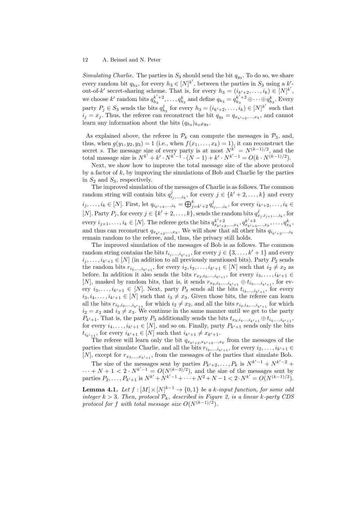Simulating Charlie. The parties in  $S_3$  should send the bit  $q_{y_3}$ . To do so, we share every random bit  $q_{h_3}$ , for every  $h_3 \in [N]^{k'}$ , between the parties in  $S_3$  using a  $k'$ out-of-k' secret-sharing scheme. That is, for every  $h_3 = (i_{k'+2}, \ldots, i_k) \in [N]^k$ , we choose  $k'$  random bits  $q_{h_3}^{k'+2}, \ldots, q_{h_3}^k$  and define  $q_{h_3} = q_{h_3}^{k'+2} \oplus \cdots \oplus q_{h_3}^k$ . Every party  $P_j \in S_3$  sends the bits  $q_{h_3}^j$  for every  $h_3 = (i_{k'+2}, \ldots, i_k) \in [N]^{k'}$  such that  $i_j = x_j$ . Thus, the referee can reconstruct the bit  $q_{y_3} = q_{x_{k'+2},...,x_k}$ , and cannot learn any information about the bits  $(q_{h_3})_{h_3 \neq y_3}$ .

As explained above, the referee in  $\mathcal{P}_k$  can compute the messages in  $\mathcal{P}_3$ , and, thus, when  $g(y_1, y_2, y_3) = 1$  (i.e., when  $f(x_1, \ldots, x_k) = 1$ ), it can reconstruct the secret s. The message size of every party is at most  $N^{k'} = N^{(k-1)/2}$ , and the total massage size is  $N^{k'} + k' \cdot N^{k'-1} \cdot (N-1) + k' \cdot N^{k'-1} = O(k \cdot N^{(k-1)/2}).$ 

Next, we show how to improve the total message size of the above protocol by a factor of  $k$ , by improving the simulations of Bob and Charlie by the parties in  $S_2$  and  $S_3$ , respectively.

The improved simulation of the messages of Charlie is as follows. The common random string will contain bits  $q_{i_j,\dots,i_k}^j$ , for every  $j \in \{k'+2,\dots,k\}$  and every  $i_j, \ldots, i_k \in [N]$ . First, let  $q_{i_{k'+2}, \ldots, i_k} = \bigoplus_{j=k'+2}^k q_{i_j, \ldots, i_k}^j$ , for every  $i_{k'+2}, \ldots, i_k \in$ [N]. Party  $P_j$ , for every  $j \in \{k'+2,\ldots,k\}$ , sends the random bits  $q_{x_j,i_{j+1}...,i_k}^j$ , for every  $i_{j+1}, \ldots, i_k \in [N]$ . The referee gets the bits  $q_{x_{k'+2},...,x_k}^{k'+2}, q_{x_{k'+3},...,x_k}^{k'+3}, \ldots, q_{x_k}^k,$ and thus can reconstruct  $q_{x_{k'+2},...,x_k}$ . We will show that all other bits  $q_{i_{k'+2},...,i_k}$ remain random to the referee, and, thus, the privacy still holds.

The improved simulation of the messages of Bob is as follows. The common random string contains the bits  $t_{i_j,...,i_{k'+1}}$ , for every  $j \in \{3, ..., k'+1\}$  and every  $i_j, \ldots, i_{k'+1} \in [N]$  (in addition to all previously mentioned bits). Party  $P_2$  sends the random bits  $r_{i_2,\dots,i_{k'+1}}$ , for every  $i_2, i_3, \dots, i_{k'+1} \in [N]$  such that  $i_2 \neq x_2$  as before. In addition it also sends the bits  $r_{x_2,i_3,\dots,i_{k'+1}}$ , for every  $i_3,\dots,i_{k'+1} \in$ [N], masked by random bits, that is, it sends  $r_{x_2,i_3,\dots,i_{k'+1}} \oplus t_{i_3,\dots,i_{k'+1}}$ , for every  $i_3, \ldots, i_{k'+1} \in [N]$ . Next, party  $P_3$  sends all the bits  $t_{i_3,\ldots,i_{k'+1}}$ , for every  $i_3, i_4, \ldots, i_{k'+1} \in [N]$  such that  $i_3 \neq x_3$ . Given those bits, the referee can learn all the bits  $r_{i_2,i_3,\dots,i_{k'+1}}$  for which  $i_2 \neq x_2$ , and all the bits  $r_{i_2,i_3,\dots,i_{k'+1}}$  for which  $i_2 = x_2$  and  $i_3 \neq x_3$ . We continue in the same manner until we get to the party  $P_{k'+1}$ . That is, the party  $P_3$  additionally sends the bits  $t_{x_3,i_4...,i_{k'+1}} \oplus t_{i_4,...,i_{k'+1}}$ for every  $i_4, \ldots, i_{k'+1} \in [N]$ , and so on. Finally, party  $P_{k'+1}$  sends only the bits  $t_{i_{k'+1}}$ , for every  $i_{k'+1} \in [N]$  such that  $i_{k'+1} \neq x_{k'+1}$ .

The referee will learn only the bit  $q_{x_{k'+2},x_{k'+3}\ldots,x_k}$  from the messages of the parties that simulate Charlie, and all the bits  $r_{i_2,\dots,i_{k'+1}}$ , for every  $i_2,\dots,i_{k'+1} \in$ [N], except for  $r_{x_2,...,x_{k'+1}}$ , from the messages of the parties that simulate Bob.

The size of the messages sent by parties  $P_{k'+2}, \ldots, P_k$  is  $N^{k'-1} + N^{k'-2}$  $\cdots + N + 1 < 2 \cdot N^{k'-1} = O(N^{(k-3)/2})$ , and the size of the messages sent by parties  $P_2, \ldots, P_{k'+1}$  is  $N^{k'} + N^{k'-1} + \cdots + N^2 + N - 1 < 2 \cdot N^{k'} = O(N^{(k-1)/2}).$ 

**Lemma 4.1.** Let  $f : [M] \times [N]^{k-1} \rightarrow \{0,1\}$  be a k-input function, for some odd integer  $k > 3$ . Then, protocol  $\mathcal{P}_k$ , described in Figure 2, is a linear k-party CDS protocol for f with total message size  $O(N^{(k-1)/2})$ .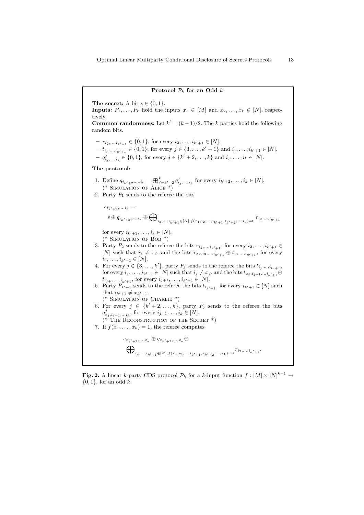### Protocol  $P_k$  for an Odd k

The secret: A bit  $s \in \{0, 1\}$ .

**Inputs:**  $P_1, \ldots, P_k$  hold the inputs  $x_1 \in [M]$  and  $x_2, \ldots, x_k \in [N]$ , respectively. **Common randomness:** Let  $k' = (k-1)/2$ . The k parties hold the following random bits.  $- r_{i_2,\ldots,i_{k'+1}} \in \{0,1\}$ , for every  $i_2,\ldots,i_{k'+1} \in [N]$ .  $t_{i_j, \ldots, i_{k'+1}} \in \{0, 1\}$ , for every  $j \in \{3, \ldots, k'+1\}$  and  $i_j, \ldots, i_{k'+1} \in [N]$ .  $q_1^j, \ldots, i_k \in \{0, 1\}$ , for every  $j \in \{k'+2, \ldots, k\}$  and  $i_j, \ldots, i_k \in [N]$ . The protocol: 1. Define  $q_{i_{k'+2},...,i_k} = \bigoplus_{j=k'+2}^k q_{i_j,...,i_k}^j$  for every  $i_{k'+2},...,i_k \in [N]$ .  $(*$  SIMULATION OF ALICE  $*)$ 2. Party  $P_1$  sends to the referee the bits  $s_{i_{k'+2},...,i_{k}} =$  $s \oplus q_{i_{k'+2},...,i_{k}} \oplus \bigoplus$  $i_2,...,i_{k'+1} \in [N], f(x_1,i_2,...,i_{k'+1},i_{k'+2},...,i_k) = 0$ <sup>T</sup> $i_2,...,i_{k'+1}$ for every  $i_{k'+2}, \ldots, i_k \in [N]$ .  $(*$  SIMULATION OF BOB  $*)$ 3. Party  $P_2$  sends to the referee the bits  $r_{i_2,\ldots,i_{k'+1}}$ , for every  $i_2,\ldots,i_{k'+1} \in$ [N] such that  $i_2 \neq x_2$ , and the bits  $r_{x_2,i_3,\dots,i_{k'+1}} \oplus t_{i_3,\dots,i_{k'+1}}$ , for every  $i_3, \ldots, i_{k'+1} \in [N].$ 4. For every  $j \in \{3, \ldots, k'\}$ , party  $P_j$  sends to the referee the bits  $t_{i_j, \ldots, i_{k'+1}}$ , for every  $i_j, \ldots, i_{k'+1} \in [N]$  such that  $i_j \neq x_j$ , and the bits  $t_{x_j, i_{j+1},...,i_{k'+1}} \oplus$  $t_{i_{j+1},...,i_{k'+1}}$ , for every  $i_{j+1},...,i_{k'+1} \in [N]$ . 5. Party  $P_{k'+1}$  sends to the referee the bits  $t_{i_{k'+1}}$ , for every  $i_{k'+1} \in [N]$  such that  $i_{k'+1} \neq x_{k'+1}$ .  $(*$  SIMULATION OF CHARLIE  $*)$ 6. For every  $j \in \{k'+2,\ldots,k\}$ , party  $P_j$  sends to the referee the bits  $q_{x_j, i_{j+1}..., i_k}^j$ , for every  $i_{j+1}..., i_k \in [N]$ .  $(*$  THE RECONSTRUCTION OF THE SECRET  $*)$ 7. If  $f(x_1, \ldots, x_k) = 1$ , the referee computes  $s_{x_{k-1},...,x_k} \oplus q_{x_{k-2},...,x_k} \oplus$  $\bigoplus$  $i_2,...,i_{k'+1} \in [N], f(x_1,i_2,...,i_{k'+1},x_{k'+2},...,x_k) = 0$ <sup>r</sup> $i_2,...,i_{k'+1}$ .

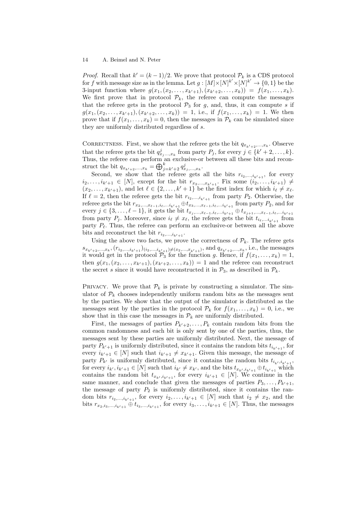*Proof.* Recall that  $k' = (k-1)/2$ . We prove that protocol  $\mathcal{P}_k$  is a CDS protocol for f with message size as in the lemma. Let  $g: [M] \times [N]^{k'} \times [N]^{k'} \to \{0,1\}$  be the 3-input function where  $g(x_1,(x_2,\ldots,x_{k'+1}), (x_{k'+2},\ldots,x_k)) = f(x_1,\ldots,x_k).$ We first prove that in protocol  $\mathcal{P}_k$ , the referee can compute the messages that the referee gets in the protocol  $P_3$  for g, and, thus, it can compute s if  $g(x_1,(x_2,\ldots,x_{k'+1}),(x_{k'+2},\ldots,x_k)) = 1$ , i.e., if  $f(x_1,\ldots,x_k) = 1$ . We then prove that if  $f(x_1, \ldots, x_k) = 0$ , then the messages in  $\mathcal{P}_k$  can be simulated since they are uniformly distributed regardless of s.

CORRECTNESS. First, we show that the referee gets the bit  $q_{x_{k'+2},...,x_k}$ . Observe that the referee gets the bit  $q_{x_j...x_k}^j$  from party  $P_j$ , for every  $j \in \{k'+2,...,k\}$ . Thus, the referee can perform an exclusive-or between all these bits and reconstruct the bit  $q_{x_{k'+2},...,x_k} = \bigoplus_{j=k'+2}^k q_{x_j,...,x_k}^j$ .

Second, we show that the referee gets all the bits  $r_{i_2,\dots,i_{k'+1}}$ , for every  $i_2, \ldots, i_{k'+1} \in [N]$ , except for the bit  $r_{x_2, \ldots, x_{k'+1}}$ . Fix some  $(i_2, \ldots, i_{k'+1}) \neq$  $(x_2, \ldots, x_{k'+1})$ , and let  $\ell \in \{2, \ldots, k'+1\}$  be the first index for which  $i_\ell \neq x_\ell$ . If  $\ell = 2$ , then the referee gets the bit  $r_{i_2,\dots,i_{k'+1}}$  from party  $P_2$ . Otherwise, the referee gets the bit  $r_{x_2,...,x_{\ell-1},i_{\ell},...,i_{k'+1}} \oplus t_{x_3,...,x_{\ell-1},i_{\ell},...,i_{k'+1}}$  from party  $P_2$ , and for every  $j \in \{3, \ldots, \ell - 1\}$ , it gets the bit  $t_{x_j, \ldots, x_{\ell-1}, i_{\ell}, \ldots, i_{k'+1}} \oplus t_{x_{j+1}, \ldots, x_{\ell-1}, i_{\ell}, \ldots, i_{k'+1}}$ from party  $P_j$ . Moreover, since  $i_\ell \neq x_\ell$ , the referee gets the bit  $t_{i_\ell,...i_{k'+1}}$  from party  $P_\ell$ . Thus, the referee can perform an exclusive-or between all the above bits and reconstruct the bit  $r_{i_2,\dots,i_{k'+1}}$ .

Using the above two facts, we prove the correctness of  $\mathcal{P}_k$ . The referee gets  $s_{x_{k'+2},...,x_k}$ ,  $(r_{i_2,...,i_{k'+1}})_{(i_2,...,i_{k'+1})\neq (x_2,...,x_{k'+1})}$ , and  $q_{x_{k'+2},...,x_k}$ , i.e., the messages it would get in the protocol  $\mathcal{P}_3$  for the function g. Hence, if  $f(x_1, \ldots, x_k) = 1$ , then  $g(x_1,(x_2,...,x_{k'+1}),(x_{k'+2},...,x_k)) = 1$  and the referee can reconstruct the secret s since it would have reconstructed it in  $\mathcal{P}_3$ , as described in  $\mathcal{P}_k$ .

PRIVACY. We prove that  $\mathcal{P}_k$  is private by constructing a simulator. The simulator of  $P_k$  chooses independently uniform random bits as the messages sent by the parties. We show that the output of the simulator is distributed as the messages sent by the parties in the protocol  $\mathcal{P}_k$  for  $f(x_1, \ldots, x_k) = 0$ , i.e., we show that in this case the messages in  $\mathcal{P}_k$  are uniformly distributed.

First, the messages of parties  $P_{k'+2}, \ldots, P_k$  contain random bits from the common randomness and each bit is only sent by one of the parties, thus, the messages sent by these parties are uniformly distributed. Next, the message of party  $P_{k'+1}$  is uniformly distributed, since it contains the random bits  $t_{i_{k'+1}}$ , for every  $i_{k'+1} \in [N]$  such that  $i_{k'+1} \neq x_{k'+1}$ . Given this message, the message of party  $P_{k'}$  is uniformly distributed, since it contains the random bits  $t_{i_{k'},i_{k'+1}}$ , for every  $i_{k'}, i_{k'+1} \in [N]$  such that  $i_{k'} \neq x_{k'}$ , and the bits  $t_{x_{k'},i_{k'+1}} \oplus t_{i_{k'+1}}$  which contains the random bit  $t_{x_{k'},i_{k'+1}}$ , for every  $i_{k'+1} \in [N]$ . We continue in the same manner, and conclude that given the messages of parties  $P_3, \ldots, P_{k'+1}$ , the message of party  $P_2$  is uniformly distributed, since it contains the random bits  $r_{i_2,\ldots,i_{k'+1}}$ , for every  $i_2,\ldots,i_{k'+1} \in [N]$  such that  $i_2 \neq x_2$ , and the bits  $r_{x_2,i_3,\dots,i_{k'+1}} \oplus t_{i_3,\dots,i_{k'+1}}$ , for every  $i_3,\dots,i_{k'+1} \in [N]$ . Thus, the messages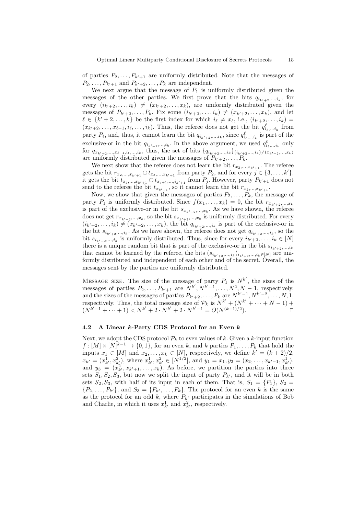of parties  $P_2, \ldots, P_{k'+1}$  are uniformly distributed. Note that the messages of  $P_2, \ldots, P_{k'+1}$  and  $P_{k'+2}, \ldots, P_k$  are independent.

We next argue that the message of  $P_1$  is uniformly distributed given the messages of the other parties. We first prove that the bits  $q_{i_{k'+2},...,i_k}$ , for every  $(i_{k'+2}, \ldots, i_k) \neq (x_{k'+2}, \ldots, x_k)$ , are uniformly distributed given the messages of  $P_{k'+2}, \ldots, P_k$ . Fix some  $(i_{k'+2}, \ldots, i_k) \neq (x_{k'+2}, \ldots, x_k)$ , and let  $\ell \in \{k'+2,\ldots,k\}$  be the first index for which  $i_{\ell} \neq x_{\ell}$ , i.e.,  $(i_{k'+2},\ldots,i_k)$  $(x_{k'+2}, \ldots, x_{\ell-1}, i_{\ell}, \ldots, i_k)$ . Thus, the referee does not get the bit  $q_{i_{\ell}, \ldots i_k}^{\ell}$  from party  $P_\ell$ , and, thus, it cannot learn the bit  $q_{i_{k'+2},...,i_k}$ , since  $q_{i_\ell,...i_k}^{\ell}$  is part of the exclusive-or in the bit  $q_{i_{k'+2},...,i_k}$ . In the above argument, we used  $q_{i_{\ell},...i_k}^{\ell}$  only for  $q_{x_{k'+2},...,x_{\ell-1},i_{\ell},...,i_{k}}$ , thus, the set of bits  $\{q_{i_{k'+2},...,i_{k}}\}_{(i_{k'+2},...,i_{k})\neq(x_{k'+2},...,x_{k})}$ are uniformly distributed given the messages of  $P_{k'+2}, \ldots, P_k$ .

We next show that the referee does not learn the bit  $r_{x_2,\dots,x_{k'+1}}$ . The referee gets the bit  $r_{x_2,...,x_{k'+1}} \oplus t_{x_3,...,x_{k'+1}}$  from party  $P_2$ , and for every  $j \in \{3,...,k'\}$ , it gets the bit  $t_{x_j,...,x_{k'+1}} \oplus t_{x_{j+1},...,i_{k'+1}}$  from  $P_j$ . However, party  $P_{k'+1}$  does not send to the referee the bit  $t_{x_{k'+1}}$ , so it cannot learn the bit  $r_{x_2,...,x_{k'+1}}$ .

Now, we show that given the messages of parties  $P_2, \ldots, P_k$ , the message of party  $P_1$  is uniformly distributed. Since  $f(x_1, \ldots, x_k) = 0$ , the bit  $r_{x_{k'+2},...,x_k}$ is part of the exclusive-or in the bit  $s_{x_{k'+2},...,x_k}$ . As we have shown, the referee does not get  $r_{x_{k'+2},...,x_k}$ , so the bit  $s_{x_{k'+2},...,x_k}$  is uniformly distributed. For every  $(i_{k'+2},...,i_k) \neq (x_{k'+2},...,x_k)$ , the bit  $q_{i_{k'+2},...,i_k}$  is part of the exclusive-or in the bit  $s_{i_{k'+2},...,i_k}$ . As we have shown, the referee does not get  $q_{i_{k'+2},...,i_k}$ , so the bit  $s_{i_{k'+2},...,i_k}$  is uniformly distributed. Thus, since for every  $i_{k'+2},...,i_k \in [N]$ there is a unique random bit that is part of the exclusive-or in the bit  $s_{i_{k+2},...,i_k}$ that cannot be learned by the referee, the bits  $(s_{i_{k'+2},...,i_k})_{i_{k'+2},...,i_k \in [N]}$  are uniformly distributed and independent of each other and of the secret. Overall, the messages sent by the parties are uniformly distributed.

MESSAGE SIZE. The size of the message of party  $P_1$  is  $N^{k'}$ , the sizes of the messages of parties  $P_2, \ldots, P_{k'+1}$  are  $N^{k'}, N^{k'-1}, \ldots, N^2, N-1$ , respectively, and the sizes of the messages of parties  $P_{k'+2}, \ldots, P_k$  are  $N^{k'-1}, N^{k'-2}, \ldots, N, 1$ , respectively. Thus, the total message size of  $\mathcal{P}_k$  is  $N^{k'} + (N^{k'} + \cdots + N - 1)$  +  $(N^{k'-1} + \cdots + 1) < N^{k'} + 2 \cdot N^{k'} + 2 \cdot N^{k'-1} = O(N^{(k-1)/2})$ ).  $\qquad \qquad \Box$ 

## 4.2 A Linear  $k$ -Party CDS Protocol for an Even  $k$

Next, we adopt the CDS protocol  $\mathcal{P}_k$  to even values of k. Given a k-input function  $f: [M] \times [N]^{k-1} \to \{0, 1\}$ , for an even k, and k parties  $P_1, \ldots, P_k$  that hold the inputs  $x_1 \in [M]$  and  $x_2, \ldots, x_k \in [N]$ , respectively, we define  $k' = (k+2)/2$ ,  $x_{k'} = (x_{k'}^1, x_{k'}^2)$ , where  $x_{k'}^1, x_{k'}^2 \in [N^{1/2}]$ , and  $y_1 = x_1, y_2 = (x_2, \ldots, x_{k'-1}, x_{k'}^1)$ , and  $y_3 = (x_{k}^2, x_{k+1}, \ldots, x_k)$ . As before, we partition the parties into three sets  $S_1, S_2, S_3$ , but now we split the input of party  $P_{k'}$ , and it will be in both sets  $S_2, S_3$ , with half of its input in each of them. That is,  $S_1 = \{P_1\}, S_2 =$  $\{P_2, \ldots, P_{k'}\},$  and  $S_3 = \{P_{k'}, \ldots, P_k\}.$  The protocol for an even k is the same as the protocol for an odd k, where  $P_{k'}$  participates in the simulations of Bob and Charlie, in which it uses  $x_{k'}^1$  and  $x_{k'}^2$ , respectively.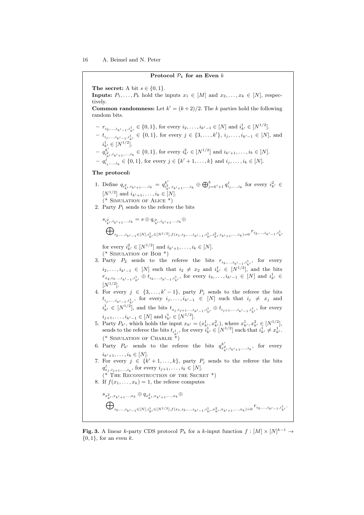#### Protocol  $P_k$  for an Even k

The secret: A bit  $s \in \{0, 1\}$ .

**Inputs:**  $P_1, \ldots, P_k$  hold the inputs  $x_1 \in [M]$  and  $x_2, \ldots, x_k \in [N]$ , respectively.

**Common randomness:** Let  $k' = (k+2)/2$ . The k parties hold the following random bits.

- $r_{i_2,\dots,i_{k'-1},i_{k'}^1} \in \{0,1\}$ , for every  $i_2,\dots,i_{k'-1} \in [N]$  and  $i_{k'}^1 \in [N^{1/2}]$ .  $− t_{i_j,...,i_{k'-1},i_{k'}^1} ∈ {0,1}$ , for every  $j ∈ {3,...,k'}$ ,  $i_j,...,i_{k'-1} ∈ [N]$ , and
- $i_{k'}^1 \in [N^{1/2}].$  $- q_{i2}^{k'}$  $i_{k}^{k'}_{i_{k'}i_{k'+1},...,i_k} \in \{0,1\}$ , for every  $i_{k'}^2 \in [N^{1/2}]$  and  $i_{k'+1},...,i_k \in [N]$ .  $q_1^j, ..., i_k \in \{0, 1\}$ , for every  $j \in \{k'+1, ..., k\}$  and  $i_j, ..., i_k \in [N]$ .

### The protocol:

- 1. Define  $q_{i_{k'}^2, i_{k'+1},...,i_k} = q_{i_k^2}^{k'}$  $i_{k}^{k'}$ ,  $i_{k'+1},...,i_k \oplus \bigoplus_{j=k'+1}^k q_{i_j,...,i_k}^j$  for every  $i_{k'}^2 \in$  $[N^{1/2}]$  and  $i_{k'+1}, \ldots, i_k \in [N]$ .  $(*$  SIMULATION OF ALICE  $*)$
- 2. Party  $P_1$  sends to the referee the bits

$$
\begin{split} &s_{i_{k'}^2, i_{k'+1}, \ldots, i_k}=s \oplus q_{i_{k'}^2, i_{k'+1}, \ldots, i_k} \oplus \\ &\bigoplus\nolimits_{i_2, \ldots, i_{k'-1} \in [N], i_{k'}^1 \in [N^{1/2}], f(x_1, i_2, \ldots, i_{k'-1}, i_{k'}^1, i_{k'}^2, i_{k'+1}, \ldots, i_k) = 0}r_{i_2, \ldots, i_{k'-1}, i_{k'}^1} \end{split}
$$

for every  $i_{k'}^2 \in [N^{1/2}]$  and  $i_{k'+1}, \ldots, i_k \in [N]$ . (\* SIMULATION OF BOB  $*$ )

- 3. Party  $P_2$  sends to the referee the bits  $r_{i_2,\ldots,i_{k'-1},i_{k'}^1}$ , for every  $i_2, \ldots, i_{k'-1} \in [N]$  such that  $i_2 \neq x_2$  and  $i_{k'}^1 \in [N^{1/2}]$ , and the bits  $r_{x_2,i_3,\dots,i_{k'-1},i_{k'}^1}$  ⊕  $t_{i_3,\dots,i_{k'-1},i_{k'}^1}$ , for every  $i_3,\dots,i_{k'-1} \in [N]$  and  $i_{k'}^1$  ∈  $[N^{1/2}].$
- 4. For every  $j \in \{3, \ldots, k'-1\}$ , party  $P_j$  sends to the referee the bits  $t_{i_j,\ldots,i_{k'-1},i_{k'}^1}$ , for every  $i_j,\ldots,i_{k'-1} \in [N]$  such that  $i_j \neq x_j$  and  $i_{k'}^1 \in [N^{1/2}]$ , and the bits  $t_{x_j,i_{j+1}...,i_{k'-1},i_{k'}^1} \oplus t_{i_{j+1},...,i_{k'-1},i_{k'}^1}$ , for every  $i_{j+1}, \ldots, i_{k'-1} \in [N]$  and  $i_{k'}^1 \in [N^{1/2}]$ .
- 5. Party  $P_{k'}$ , which holds the input  $x_{k'} = (x_{k'}^1, x_{k'}^2)$ , where  $x_{k'}^1, x_{k'}^2 \in [N^{1/2}]$ , sends to the referee the bits  $t_{i_k^1}$ , for every  $i_{k'}^1 \in [N^{1/2}]$  such that  $i_{k'}^1 \neq x_{k'}^1$ . (\* SIMULATION OF CHARLIE  $\widetilde{\ast}$ )
- 6. Party  $P_{k'}$  sends to the referee the bits  $q_{x_{k'}^2, i_{k'+1},...,i_k}^{k'}$ , for every  $i_{k'+1}, \ldots, i_k \in [N]$ .
- 7. For every  $j \in \{k'+1,\ldots,k\}$ , party  $P_j$  sends to the referee the bits  $q_{x_j, i_{j+1},...,i_k}^j$ , for every  $i_{j+1},...,i_k \in [N]$ .
- $(*$  The Reconstruction of the Secret  $*)$
- 8. If  $f(x_1, \ldots, x_k) = 1$ , the referee computes
	- $s_{x_{k'}^2, x_{k'+1}, \dots, x_{k}} \oplus q_{x_{k'}^2, x_{k'+1}, \dots, x_{k}} \oplus$  $\bigoplus$  $i_{2},...,i_{k'-1}\in[N],i_{k'}^{1}\in[N^{1/2}],f(x_{1},i_{2},...,i_{k'-1},i_{k'}^{1},x_{k'}^{2},x_{k'+1},...,x_{k})=0\stackrel{\mathcal{T}_{i_{2}},...,i_{k'-1},i_{k'}^{1}}{\longrightarrow}$

**Fig. 3.** A linear k-party CDS protocol  $\mathcal{P}_k$  for a k-input function  $f: [M] \times [N]^{k-1} \rightarrow$  $\{0, 1\}$ , for an even k.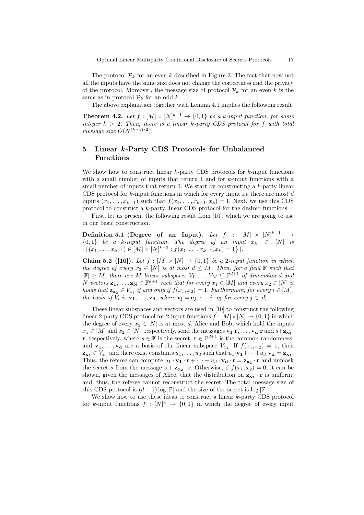Optimal Linear Multiparty Conditional Disclosure of Secrets Protocols 17

The protocol  $\mathcal{P}_k$  for an even k described in Figure 3. The fact that now not all the inputs have the same size does not change the correctness and the privacy of the protocol. Moreover, the message size of protocol  $\mathcal{P}_k$  for an even k is the same as in protocol  $\mathcal{P}_k$  for an odd k.

The above explanation together with Lemma 4.1 implies the following result.

**Theorem 4.2.** Let  $f : [M] \times [N]^{k-1} \rightarrow \{0,1\}$  be a k-input function, for some integer  $k > 2$ . Then, there is a linear k-party CDS protocol for f with total message size  $O(N^{(k-1)/2})$ .

## 5 Linear k-Party CDS Protocols for Unbalanced Functions

We show how to construct linear  $k$ -party CDS protocols for  $k$ -input functions with a small number of inputs that return 1 and for  $k$ -input functions with a small number of inputs that return  $0$ . We start by constructing a  $k$ -party linear CDS protocol for k-input functions in which for every input  $x_k$  there are most d inputs  $(x_1, \ldots, x_{k-1})$  such that  $f(x_1, \ldots, x_{k-1}, x_k) = 1$ . Next, we use this CDS protocol to construct a k-party linear CDS protocol for the desired functions.

First, let us present the following result from [10], which we are going to use in our basic construction.

Definition 5.1 (Degree of an Input). Let  $f$  :  $[M] \times [N]^{k-1}$   $\rightarrow$  ${0,1}$  be a k-input function. The degree of an input  $x_k \in [N]$  is  $|\{(x_1,\ldots,x_{k-1})\in [M]\times [N]^{k-2}: f(x_1,\ldots,x_{k-1},x_k)=1\}|.$ 

Claim 5.2 ([10]). Let  $f : [M] \times [N] \rightarrow \{0,1\}$  be a 2-input function in which the degree of every  $x_2 \in [N]$  is at most  $d \leq M$ . Then, for a field  $\mathbb F$  such that  $|\mathbb{F}| \geq M$ , there are M linear subspaces  $V_1, \ldots, V_M \subseteq \mathbb{F}^{d+1}$  of dimension d and N vectors  $\mathbf{z}_1, \ldots, \mathbf{z}_N \in \mathbb{F}^{d+1}$  such that for every  $x_1 \in [M]$  and every  $x_2 \in [N]$  it holds that  $\mathbf{z_{x_2}} \in V_{x_1}$  if and only if  $f(x_1, x_2) = 1$ . Furthermore, for every  $i \in [M]$ , the basis of  $V_i$  is  $\mathbf{v}_1, \ldots, \mathbf{v}_d$ , where  $\mathbf{v}_j = \mathbf{e}_{j+1} - i \cdot \mathbf{e}_j$  for every  $j \in [d]$ .

These linear subspaces and vectors are used in [10] to construct the following linear 2-party CDS protocol for 2-input functions  $f : [M] \times [N] \rightarrow \{0, 1\}$  in which the degree of every  $x_2 \in [N]$  is at most d. Alice and Bob, which hold the inputs  $x_1 \in [M]$  and  $x_2 \in [N]$ , respectively, send the messages  $\mathbf{v}_1 \cdot \mathbf{r}, \ldots, \mathbf{v}_d \cdot \mathbf{r}$  and  $s + \mathbf{z}_{\mathbf{x}_2}$ . r, respectively, where  $s \in \mathbb{F}$  is the secret,  $\mathbf{r} \in \mathbb{F}^{d+1}$  is the common randomness, and  $\mathbf{v}_1, \ldots, \mathbf{v}_d$  are a basis of the linear subspace  $V_{x_1}$ . If  $f(x_1, x_2) = 1$ , then  $\mathbf{z_{x_2}} \in V_{x_1}$  and there exist constants  $u_1, \ldots, u_d$  such that  $u_1 \cdot \mathbf{v_1} + \cdots + u_d \cdot \mathbf{v_d} = \mathbf{z_{x_2}}$ . Thus, the referee can compute  $u_1 \cdot v_1 \cdot r + \cdots + u_d \cdot v_d \cdot r = \mathbf{z}_{\mathbf{x}_2} \cdot r$  and unmask the secret s from the message  $s + \mathbf{z}_{\mathbf{x}_2} \cdot \mathbf{r}$ . Otherwise, if  $f(x_1, x_2) = 0$ , it can be shown, given the messages of Alice, that the distribution on  $z_{x_2} \cdot r$  is uniform, and, thus, the referee cannot reconstruct the secret. The total message size of this CDS protocol is  $(d+1)$  log  $\mathbb{F}$  and the size of the secret is log  $\mathbb{F}$ .

We show how to use these ideas to construct a linear k-party CDS protocol for k-input functions  $f : [N]^k \to \{0,1\}$  in which the degree of every input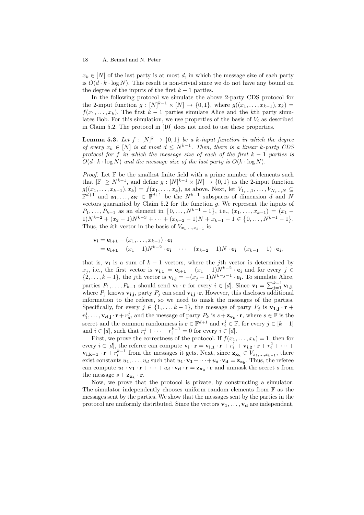$x_k \in [N]$  of the last party is at most d, in which the message size of each party is  $O(d \cdot k \cdot \log N)$ . This result is non-trivial since we do not have any bound on the degree of the inputs of the first  $k - 1$  parties.

In the following protocol we simulate the above 2-party CDS protocol for the 2-input function  $g: [N]^{k-1} \times [N] \to \{0,1\}$ , where  $g((x_1, ..., x_{k-1}), x_k) =$  $f(x_1, \ldots, x_k)$ . The first  $k-1$  parties simulate Alice and the kth party simulates Bob. For this simulation, we use properties of the basis of  $V_i$  as described in Claim 5.2. The protocol in [10] does not need to use these properties.

**Lemma 5.3.** Let  $f : [N]^k \to \{0,1\}$  be a k-input function in which the degree of every  $x_k \in [N]$  is at most  $d \leq N^{k-1}$ . Then, there is a linear k-party CDS protocol for f in which the message size of each of the first  $k - 1$  parties is  $O(d \cdot k \cdot \log N)$  and the message size of the last party is  $O(k \cdot \log N)$ .

*Proof.* Let  $\mathbb F$  be the smallest finite field with a prime number of elements such that  $|\mathbb{F}| \ge N^{k-1}$ , and define  $g: [N]^{k-1} \times [N] \to \{0,1\}$  as the 2-input function  $g((x_1, \ldots, x_{k-1}), x_k) = f(x_1, \ldots, x_k)$ , as above. Next, let  $V_{1,\ldots,1}, \ldots, V_{N,\ldots,N} \subseteq$  $\mathbb{F}^{d+1}$  and  $\mathbf{z}_1,\ldots,\mathbf{z}_N \in \mathbb{F}^{d+1}$  be the  $N^{k-1}$  subspaces of dimension d and N vectors guarantied by Claim 5.2 for the function g. We represent the inputs of  $P_1, \ldots, P_{k-1}$  as an element in  $\{0, \ldots, N^{k-1}-1\}$ , i.e.,  $(x_1, \ldots, x_{k-1}) = (x_1 1)N^{k-2} + (x_2 - 1)N^{k-3} + \cdots + (x_{k-2} - 1)N + x_{k-1} - 1 \in \{0, \ldots, N^{k-1} - 1\}.$ Thus, the *i*th vector in the basis of  $V_{x_1,\dots,x_{k-1}}$  is

$$
\mathbf{v_i} = \mathbf{e_{i+1}} - (x_1, \dots, x_{k-1}) \cdot \mathbf{e_i}
$$
  
=  $\mathbf{e_{i+1}} - (x_1 - 1)N^{k-2} \cdot \mathbf{e_i} - \dots - (x_{k-2} - 1)N \cdot \mathbf{e_i} - (x_{k-1} - 1) \cdot \mathbf{e_i}$ 

that is,  $v_i$  is a sum of  $k-1$  vectors, where the jth vector is determined by  $x_j$ , i.e., the first vector is  $\mathbf{v_{i,1}} = \mathbf{e_{i+1}} - (x_1 - 1)N^{k-2} \cdot \mathbf{e_i}$  and for every  $j \in$  $\{2,\ldots,k-1\}$ , the j<sup>th</sup> vector is  $\mathbf{v_{i,j}} = -(x_j-1)N^{k-j-1} \cdot \mathbf{e_i}$ . To simulate Alice, parties  $P_1, \ldots, P_{k-1}$  should send  $\mathbf{v_i} \cdot \mathbf{r}$  for every  $i \in [d]$ . Since  $\mathbf{v_i} = \sum_{j=1}^{k-1} \mathbf{v_{i,j}}$ , where  $P_j$  knows  $\mathbf{v}_{\mathbf{i},\mathbf{j}}$ , party  $P_j$  can send  $\mathbf{v}_{\mathbf{i},\mathbf{j}}\cdot\mathbf{r}$ . However, this discloses additional information to the referee, so we need to mask the messages of the parties. Specifically, for every  $j \in \{1, ..., k-1\}$ , the message of party  $P_j$  is  $\mathbf{v}_{1,j} \cdot \mathbf{r}$  +  $r_1^j, \ldots, \mathbf{v_{d,j}} \cdot \mathbf{r} + r_d^j$ , and the message of party  $P_k$  is  $s + \mathbf{z_{x_k}} \cdot \mathbf{r}$ , where  $s \in \mathbb{F}$  is the secret and the common randomness is  $\mathbf{r} \in \mathbb{F}^{d+1}$  and  $r_i^j \in \mathbb{F}$ , for every  $j \in [k-1]$ and  $i \in [d]$ , such that  $r_i^1 + \cdots + r_i^{k-1} = 0$  for every  $i \in [d]$ .

First, we prove the correctness of the protocol. If  $f(x_1, \ldots, x_k) = 1$ , then for every  $i \in [d]$ , the referee can compute  $\mathbf{v_i} \cdot \mathbf{r} = \mathbf{v_{i,1}} \cdot \mathbf{r} + r_i^1 + \mathbf{v_{i,2}} \cdot \mathbf{r} + r_i^2 + \cdots$  $\mathbf{v_{i,k-1}} \cdot \mathbf{r} + r_i^{k-1}$  from the messages it gets. Next, since  $\mathbf{z_{x_k}} \in V_{x_1,...,x_{k-1}}$ , there exist constants  $u_1, \ldots, u_d$  such that  $u_1 \cdot v_1 + \cdots + u_d \cdot v_d = \mathbf{z}_{\mathbf{x}_k}$ . Thus, the referee can compute  $u_1 \cdot \mathbf{v_1} \cdot \mathbf{r} + \cdots + u_d \cdot \mathbf{v_d} \cdot \mathbf{r} = \mathbf{z_{x_k}} \cdot \mathbf{r}$  and unmask the secret s from the message  $s + \mathbf{z}_{\mathbf{x_k}} \cdot \mathbf{r}$ .

Now, we prove that the protocol is private, by constructing a simulator. The simulator independently chooses uniform random elements from  $\mathbb F$  as the messages sent by the parties. We show that the messages sent by the parties in the protocol are uniformly distributed. Since the vectors  $v_1, \ldots, v_d$  are independent,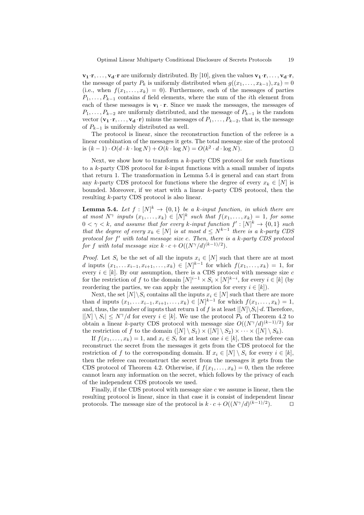$\mathbf{v_1}\cdot\mathbf{r}, \ldots, \mathbf{v_d}\cdot\mathbf{r}$  are uniformly distributed. By [10], given the values  $\mathbf{v_1}\cdot\mathbf{r}, \ldots, \mathbf{v_d}\cdot\mathbf{r}$ , the message of party  $P_k$  is uniformly distributed when  $g((x_1, \ldots, x_{k-1}), x_k) = 0$ (i.e., when  $f(x_1, \ldots, x_k) = 0$ ). Furthermore, each of the messages of parties  $P_1, \ldots, P_{k-1}$  contains d field elements, where the sum of the *i*th element from each of these messages is  $v_i \cdot r$ . Since we mask the messages, the messages of  $P_1, \ldots, P_{k-2}$  are uniformly distributed, and the message of  $P_{k-1}$  is the random vector  $(\mathbf{v_1} \cdot \mathbf{r}, \dots, \mathbf{v_d} \cdot \mathbf{r})$  minus the messages of  $P_1, \dots, P_{k-2}$ , that is, the message of  $P_{k-1}$  is uniformly distributed as well.

The protocol is linear, since the reconstruction function of the referee is a linear combination of the messages it gets. The total message size of the protocol is  $(k-1) \cdot O(d \cdot k \cdot \log N) + O(k \cdot \log N) = O(k^2 \cdot d \cdot \log N)$ . □

Next, we show how to transform a  $k$ -party CDS protocol for such functions to a  $k$ -party CDS protocol for  $k$ -input functions with a small number of inputs that return 1. The transformation in Lemma 5.4 is general and can start from any k-party CDS protocol for functions where the degree of every  $x_k \in [N]$  is bounded. Moreover, if we start with a linear k-party CDS protocol, then the resulting k-party CDS protocol is also linear.

**Lemma 5.4.** Let  $f : [N]^k \to \{0,1\}$  be a k-input function, in which there are at most  $N^{\gamma}$  inputs  $(x_1, \ldots, x_k) \in [N]^k$  such that  $f(x_1, \ldots, x_k) = 1$ , for some  $0 < \gamma < k$ , and assume that for every k-input function  $f' : [N]^k \to \{0,1\}$  such that the degree of every  $x_k \in [N]$  is at most  $d \leq N^{k-1}$  there is a k-party CDS protocol for  $f'$  with total message size c. Then, there is a k-party CDS protocol for f with total message size  $k \cdot c + O((N^{\gamma}/d)^{(k-1)/2})$ .

*Proof.* Let  $S_i$  be the set of all the inputs  $x_i \in [N]$  such that there are at most d inputs  $(x_1, \ldots, x_{i-1}, x_{i+1}, \ldots, x_k) \in [N]^{k-1}$  for which  $f(x_1, \ldots, x_k) = 1$ , for every  $i \in [k]$ . By our assumption, there is a CDS protocol with message size c for the restriction of f to the domain  $[N]^{i-1} \times S_i \times [N]^{k-i}$ , for every  $i \in [k]$  (by reordering the parties, we can apply the assumption for every  $i \in [k]$ .

Next, the set  $[N]\backslash S_i$  contains all the inputs  $x_i \in [N]$  such that there are more than *d* inputs  $(x_1, \ldots, x_{i-1}, x_{i+1}, \ldots, x_k) \in [N]^{k-1}$  for which  $f(x_1, \ldots, x_k) = 1$ , and, thus, the number of inputs that return 1 of f is at least  $\vert [N] \backslash S_i \vert \cdot d$ . Therefore,  $|[N] \setminus S_i| \leq N^{\gamma}/d$  for every  $i \in [k]$ . We use the protocol  $\mathcal{P}_k$  of Theorem 4.2 to obtain a linear k-party CDS protocol with message size  $O((N^{\gamma}/d)^{(k-1)/2})$  for the restriction of f to the domain  $(|N| \setminus S_1) \times (|N| \setminus S_2) \times \cdots \times (|N| \setminus S_k)$ .

If  $f(x_1, \ldots, x_k) = 1$ , and  $x_i \in S_i$  for at least one  $i \in [k]$ , then the referee can reconstruct the secret from the messages it gets from the CDS protocol for the restriction of f to the corresponding domain. If  $x_i \in [N] \setminus S_i$  for every  $i \in [k]$ , then the referee can reconstruct the secret from the messages it gets from the CDS protocol of Theorem 4.2. Otherwise, if  $f(x_1, \ldots, x_k) = 0$ , then the referee cannot learn any information on the secret, which follows by the privacy of each of the independent CDS protocols we used.

Finally, if the CDS protocol with message size  $c$  we assume is linear, then the resulting protocol is linear, since in that case it is consist of independent linear protocols. The message size of the protocol is  $k \cdot c + O((N^{\gamma}/d)^{(k-1)/2})$ .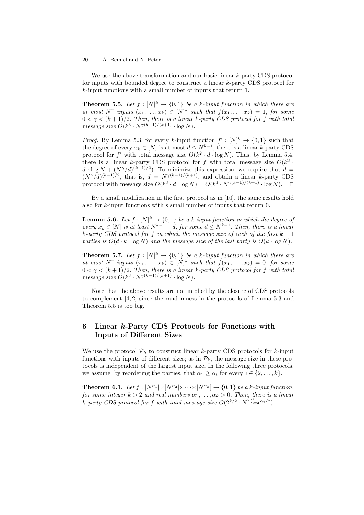We use the above transformation and our basic linear k-party CDS protocol for inputs with bounded degree to construct a linear k-party CDS protocol for k-input functions with a small number of inputs that return 1.

**Theorem 5.5.** Let  $f : [N]^k \to \{0,1\}$  be a k-input function in which there are at most  $N^{\gamma}$  inputs  $(x_1, \ldots, x_k) \in [N]^k$  such that  $f(x_1, \ldots, x_k) = 1$ , for some  $0 < \gamma < (k+1)/2$ . Then, there is a linear k-party CDS protocol for f with total message size  $O(k^3 \cdot N^{\gamma(k-1)/(k+1)} \cdot \log N)$ .

*Proof.* By Lemma 5.3, for every k-input function  $f' : [N]^k \to \{0,1\}$  such that the degree of every  $x_k \in [N]$  is at most  $d \leq N^{k-1}$ , there is a linear k-party CDS protocol for f' with total message size  $O(k^2 \cdot d \cdot \log N)$ . Thus, by Lemma 5.4, there is a linear k-party CDS protocol for f with total message size  $O(k^3 \cdot$  $d \cdot \log N + (N^{\gamma}/d)^{(k-1)/2}$ . To minimize this expression, we require that  $d =$  $(N^{\gamma}/d)^{(k-1)/2}$ , that is,  $d = N^{\gamma(k-1)/(k+1)}$ , and obtain a linear k-party CDS protocol with message size  $O(k^3 \cdot d \cdot \log N) = O(k^3 \cdot N^{\gamma(k-1)/(k+1)} \cdot \log N)$ .  $\Box$ 

By a small modification in the first protocol as in [10], the same results hold also for k-input functions with s small number of inputs that return 0.

**Lemma 5.6.** Let  $f: [N]^k \to \{0,1\}$  be a k-input function in which the degree of every  $x_k \in [N]$  is at least  $N^{k-1} - d$ , for some  $d \le N^{k-1}$ . Then, there is a linear k-party CDS protocol for f in which the message size of each of the first  $k - 1$ parties is  $O(d \cdot k \cdot \log N)$  and the message size of the last party is  $O(k \cdot \log N)$ .

**Theorem 5.7.** Let  $f : [N]^k \to \{0,1\}$  be a k-input function in which there are at most  $N^{\gamma}$  inputs  $(x_1, \ldots, x_k) \in [N]^k$  such that  $f(x_1, \ldots, x_k) = 0$ , for some  $0 < \gamma < (k+1)/2$ . Then, there is a linear k-party CDS protocol for f with total message size  $O(k^3 \cdot N^{\gamma(k-1)/(k+1)} \cdot \log N)$ .

Note that the above results are not implied by the closure of CDS protocols to complement [4, 2] since the randomness in the protocols of Lemma 5.3 and Theorem 5.5 is too big.

## 6 Linear k-Party CDS Protocols for Functions with Inputs of Different Sizes

We use the protocol  $\mathcal{P}_k$  to construct linear k-party CDS protocols for k-input functions with inputs of different sizes; as in  $\mathcal{P}_k$ , the message size in these protocols is independent of the largest input size. In the following three protocols, we assume, by reordering the parties, that  $\alpha_1 \geq \alpha_i$  for every  $i \in \{2, \ldots, k\}$ .

**Theorem 6.1.** Let  $f : [N^{\alpha_1}] \times [N^{\alpha_2}] \times \cdots \times [N^{\alpha_k}] \rightarrow \{0,1\}$  be a k-input function, for some integer  $k > 2$  and real numbers  $\alpha_1, \ldots, \alpha_k > 0$ . Then, there is a linear k-party CDS protocol for f with total message size  $O(2^{k/2} \cdot N^{\sum_{i=2}^k \alpha_i/2})$ .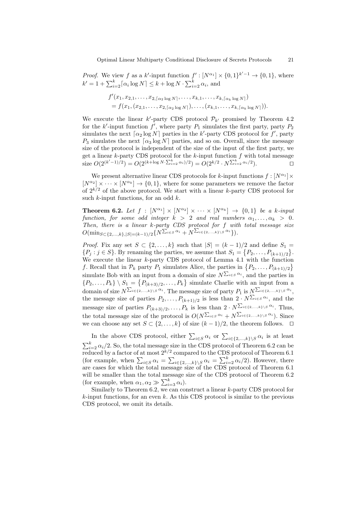*Proof.* We view f as a k'-input function  $f' : [N^{\alpha_1}] \times \{0,1\}^{k'-1} \to \{0,1\}$ , where  $k' = 1 + \sum_{i=2}^{k} \lceil \alpha_i \log N \rceil \leq k + \log N \cdot \sum_{i=2}^{k} \alpha_i$ , and

$$
f'(x_1, x_{2,1}, \ldots, x_{2, \lceil \alpha_2 \log N \rceil}, \ldots, x_{k,1}, \ldots, x_{k, \lceil \alpha_k \log N \rceil})
$$
  
=  $f(x_1, (x_{2,1}, \ldots, x_{2, \lceil \alpha_2 \log N \rceil}), \ldots, (x_{k,1}, \ldots, x_{k, \lceil \alpha_k \log N \rceil})).$ 

We execute the linear  $k'$ -party CDS protocol  $\mathcal{P}_{k'}$  promised by Theorem 4.2 for the k'-input function  $f'$ , where party  $P_1$  simulates the first party, party  $P_2$ simulates the next  $\lceil \alpha_2 \log N \rceil$  parties in the k'-party CDS protocol for f', party  $P_3$  simulates the next  $\lceil \alpha_3 \log N \rceil$  parties, and so on. Overall, since the message size of the protocol is independent of the size of the input of the first party, we get a linear  $k$ -party CDS protocol for the  $k$ -input function  $f$  with total message size  $O(2^{(k'-1)/2}) = O(2^{(k+\log N \cdot \sum_{i=2}^k \alpha_i)/2}) = O(2^{k/2} \cdot N^{\sum_{i=2}^k \alpha_i/2})$  $\Box$ 

We present alternative linear CDS protocols for k-input functions  $f: [N^{\alpha_1}] \times$  $[N^{\alpha_2}] \times \cdots \times [N^{\alpha_k}] \rightarrow \{0,1\}$ , where for some parameters we remove the factor of  $2^{k/2}$  of the above protocol. We start with a linear k-party CDS protocol for such  $k$ -input functions, for an odd  $k$ .

**Theorem 6.2.** Let  $f : [N^{\alpha_1}] \times [N^{\alpha_2}] \times \cdots \times [N^{\alpha_k}] \rightarrow \{0,1\}$  be a k-input function, for some odd integer  $k > 2$  and real numbers  $\alpha_1, \ldots, \alpha_k > 0$ . Then, there is a linear k-party CDS protocol for f with total message size  $O(\min_{S \subset \{2,...,k\}, |S| = (k-1)/2} \{N^{\sum_{i \in S} \alpha_i} + N^{\sum_{i \in \{2,...,k\} \setminus S} \alpha_i}\}.$ 

*Proof.* Fix any set  $S \subset \{2,\ldots,k\}$  such that  $|S| = (k-1)/2$  and define  $S_1 =$  $\{P_j : j \in S\}$ . By renaming the parties, we assume that  $S_1 = \{P_2, \ldots, P_{(k+1)/2}\}\$ . We execute the linear k-party CDS protocol of Lemma 4.1 with the function f. Recall that in  $\mathcal{P}_k$  party  $P_1$  simulates Alice, the parties in  $\{P_2, \ldots, P_{(k+1)/2}\}\$ simulate Bob with an input from a domain of size  $N^{\sum_{i \in S} \alpha_i}$ , and the parties in  $\{P_2,\ldots,P_k\} \setminus S_1 = \{P_{(k+3)/2},\ldots,P_k\}$  simulate Charlie with an input from a domain of size  $N^{\sum_{i\in\{2,\ldots,k\}\setminus S} \alpha_i}$ . The message size of party  $P_1$  is  $N^{\sum_{i\in\{2,\ldots,k\}\setminus S} \alpha_i}$ , the message size of parties  $P_2, \ldots, P_{(k+1)/2}$  is less than  $2 \cdot N^{\sum_{i \in S} \alpha_i}$ , and the message size of parties  $P_{(k+3)/2}, \ldots, P_k$  is less than  $2 \cdot N^{\sum_{i \in \{2,\ldots,k\}\setminus S} \alpha_i}$ . Thus, the total message size of the protocol is  $O(N^{\sum_{i\in S}\alpha_i} + N^{\sum_{i\in\{2,\ldots,k\}\setminus S}\alpha_i})$ . Since we can choose any set  $S \subset \{2, ..., k\}$  of size  $(k-1)/2$ , the theorem follows.  $\Box$ 

In the above CDS protocol, either  $\sum_{i\in S}\alpha_i$  or  $\sum_{i\in \{2,\ldots,k\}\setminus S}\alpha_i$  is at least  $\sum_{i=2}^{k} \alpha_i/2$ . So, the total message size in the CDS protocol of Theorem 6.2 can be reduced by a factor of at most  $2^{k/2}$  compared to the CDS protocol of Theorem 6.1 (for example, when  $\sum_{i\in S}\alpha_i = \sum_{i\in\{2,\ldots,k\}\setminus S}\alpha_i = \sum_{i=2}^k \alpha_i/2$ ). However, there are cases for which the total message size of the CDS protocol of Theorem 6.1 will be smaller than the total message size of the CDS protocol of Theorem 6.2 (for example, when  $\alpha_1, \alpha_2 \gg \sum_{i=3}^k \alpha_i$ ).

Similarly to Theorem 6.2, we can construct a linear k-party CDS protocol for  $k$ -input functions, for an even  $k$ . As this CDS protocol is similar to the previous CDS protocol, we omit its details.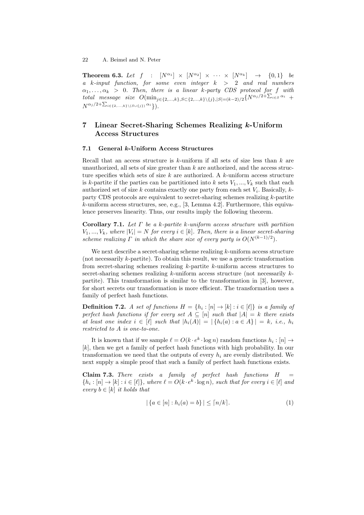**Theorem 6.3.** Let  $f : [N^{\alpha_1}] \times [N^{\alpha_2}] \times \cdots \times [N^{\alpha_k}] \rightarrow \{0,1\}$  be a k-input function, for some even integer  $k > 2$  and real numbers  $\alpha_1, \ldots, \alpha_k$  > 0. Then, there is a linear k-party CDS protocol for f with total message size  $O(\min_{j \in \{2,...,k\}, S \subset \{2,...,k\} \setminus \{j\}, |S| = (k-2)/2} \{N^{\alpha_j/2 + \sum_{i \in S} \alpha_i} +$  $N^{\alpha_j/2+\sum_{i\in\{2,...,k\}\setminus (S\cup\{j\})}\alpha_i}\bigr).$ 

## 7 Linear Secret-Sharing Schemes Realizing k-Uniform Access Structures

#### 7.1 General k-Uniform Access Structures

Recall that an access structure is  $k$ -uniform if all sets of size less than  $k$  are unauthorized, all sets of size greater than  $k$  are authorized, and the access structure specifies which sets of size  $k$  are authorized. A  $k$ -uniform access structure is k-partite if the parties can be partitioned into k sets  $V_1, ..., V_k$  such that each authorized set of size k contains exactly one party from each set  $V_i$ . Basically, kparty CDS protocols are equivalent to secret-sharing schemes realizing k-partite  $k$ -uniform access structures, see, e.g., [3, Lemma 4.2]. Furthermore, this equivalence preserves linearity. Thus, our results imply the following theorem.

Corollary 7.1. Let  $\Gamma$  be a k-partite k-uniform access structure with partition  $V_1, ..., V_k$ , where  $|V_i| = N$  for every  $i \in [k]$ . Then, there is a linear secret-sharing scheme realizing  $\Gamma$  in which the share size of every party is  $O(N^{(k-1)/2})$ .

We next describe a secret-sharing scheme realizing  $k$ -uniform access structure (not necessarily  $k$ -partite). To obtain this result, we use a generic transformation from secret-sharing schemes realizing k-partite k-uniform access structures to secret-sharing schemes realizing  $k$ -uniform access structure (not necessarily  $k$ partite). This transformation is similar to the transformation in [3], however, for short secrets our transformation is more efficient. The transformation uses a family of perfect hash functions.

**Definition 7.2.** A set of functions  $H = \{h_i : [n] \to [k] : i \in [\ell]\}$  is a family of perfect hash functions if for every set  $A \subseteq [n]$  such that  $|A| = k$  there exists at least one index  $i \in [\ell]$  such that  $|h_i(A)| = |\{h_i(a) : a \in A\}| = k$ , i.e.,  $h_i$ restricted to A is one-to-one.

It is known that if we sample  $\ell = O(k \cdot e^k \cdot \log n)$  random functions  $h_i : [n] \to$ [k], then we get a family of perfect hash functions with high probability. In our transformation we need that the outputs of every  $h_i$  are evenly distributed. We next supply a simple proof that such a family of perfect hash functions exists.

Claim 7.3. There exists a family of perfect hash functions  $H =$  $\{h_i : [n] \to [k] : i \in [\ell] \}$ , where  $\ell = O(k \cdot e^k \cdot \log n)$ , such that for every  $i \in [\ell]$  and every  $b \in [k]$  it holds that

$$
|\{a \in [n] : h_i(a) = b\}| \leq \lceil n/k \rceil. \tag{1}
$$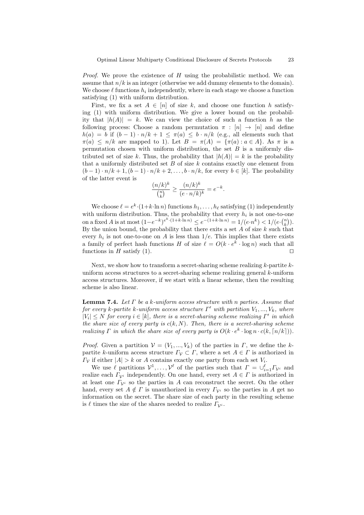*Proof.* We prove the existence of  $H$  using the probabilistic method. We can assume that  $n/k$  is an integer (otherwise we add dummy elements to the domain). We choose  $\ell$  functions  $h_i$  independently, where in each stage we choose a function satisfying (1) with uniform distribution.

First, we fix a set  $A \in [n]$  of size k, and choose one function h satisfying (1) with uniform distribution. We give a lower bound on the probability that  $|h(A)| = k$ . We can view the choice of such a function h as the following process: Choose a random permutation  $\pi : [n] \rightarrow [n]$  and define  $h(a) = b$  if  $(b-1) \cdot n/k + 1 \leq \pi(a) \leq b \cdot n/k$  (e.g., all elements such that  $\pi(a) \leq n/k$  are mapped to 1). Let  $B = \pi(A) = {\pi(a) : a \in A}$ . As  $\pi$  is a permutation chosen with uniform distribution, the set  $B$  is a uniformly distributed set of size k. Thus, the probability that  $|h(A)| = k$  is the probability that a uniformly distributed set  $B$  of size  $k$  contains exactly one element from  $(b-1) \cdot n/k + 1$ ,  $(b-1) \cdot n/k + 2$ , ...,  $b \cdot n/k$ , for every  $b \in [k]$ . The probability of the latter event is

$$
\frac{(n/k)^k}{\binom{n}{k}} \ge \frac{(n/k)^k}{(e \cdot n/k)^k} = e^{-k}.
$$

We choose  $\ell = e^k \cdot (1 + k \cdot \ln n)$  functions  $h_1, \ldots, h_\ell$  satisfying (1) independently with uniform distribution. Thus, the probability that every  $h_i$  is not one-to-one on a fixed A is at most  $(1-e^{-k})^{e^k \cdot (1+k \cdot \ln n)} \le e^{-(1+k \cdot \ln n)} = 1/(e \cdot n^k) < 1/(e \cdot {n \choose k})$ . By the union bound, the probability that there exits a set  $A$  of size  $k$  such that every  $h_i$  is not one-to-one on A is less than  $1/e$ . This implies that there exists a family of perfect hash functions H of size  $\ell = O(k \cdot e^k \cdot \log n)$  such that all functions in H satisfy (1).

Next, we show how to transform a secret-sharing scheme realizing  $k$ -partite  $k$ uniform access structures to a secret-sharing scheme realizing general  $k$ -uniform access structures. Moreover, if we start with a linear scheme, then the resulting scheme is also linear.

**Lemma 7.4.** Let  $\Gamma$  be a k-uniform access structure with n parties. Assume that for every k-partite k-uniform access structure  $\Gamma'$  with partition  $V_1, ..., V_k$ , where  $|V_i| \leq N$  for every  $i \in [k]$ , there is a secret-sharing scheme realizing  $\Gamma'$  in which the share size of every party is  $c(k, N)$ . Then, there is a secret-sharing scheme realizing  $\Gamma$  in which the share size of every party is  $O(k \cdot e^k \cdot \log n \cdot c(k, \lceil n/k \rceil)).$ 

*Proof.* Given a partition  $V = (V_1, ..., V_k)$  of the parties in  $\Gamma$ , we define the kpartite k-uniform access structure  $\Gamma_{\mathcal{V}} \subset \Gamma$ , where a set  $A \in \Gamma$  is authorized in  $\Gamma_{\mathcal{V}}$  if either  $|A| > k$  or A contains exactly one party from each set  $V_i$ .

We use  $\ell$  partitions  $\mathcal{V}^1, \ldots, \mathcal{V}^{\ell}$  of the parties such that  $\Gamma = \bigcup_{i=1}^{\ell} \Gamma_{\mathcal{V}^i}$  and realize each  $\Gamma_{\mathcal{V}^i}$  independently. On one hand, every set  $A \in \Gamma$  is authorized in at least one  $\Gamma_{\mathcal{V}^i}$  so the parties in A can reconstruct the secret. On the other hand, every set  $A \notin \Gamma$  is unauthorized in every  $\Gamma_{\mathcal{V}^i}$  so the parties in A get no information on the secret. The share size of each party in the resulting scheme is  $\ell$  times the size of the shares needed to realize  $\Gamma_{\mathcal{V}^i}$ .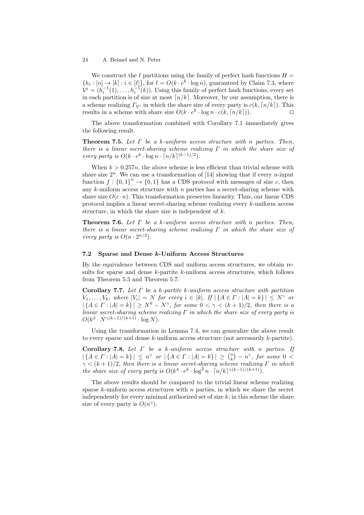We construct the  $\ell$  partitions using the family of perfect hash functions  $H =$  $\{h_i : [n] \to [k] : i \in [\ell]\},$  for  $\ell = O(k \cdot e^k \cdot \log n)$ , guaranteed by Claim 7.3, where  $\mathcal{V}^i = (h_i^{-1}(1), \ldots, h_i^{-1}(k))$ . Using this family of perfect hash functions, every set in each partition is of size at most  $\lceil n/k \rceil$ . Moreover, by our assumption, there is a scheme realizing  $\Gamma_{\mathcal{V}i}$  in which the share size of every party is  $c(k, \lceil n/k \rceil)$ . This results in a scheme with share size  $O(k \cdot e^k \cdot \log n \cdot c(k, \lceil n/k \rceil)).$ 

The above transformation combined with Corollary 7.1 immediately gives the following result.

**Theorem 7.5.** Let  $\Gamma$  be a k-uniform access structure with n parties. Then, there is a linear secret-sharing scheme realizing  $\Gamma$  in which the share size of every party is  $O(k \cdot e^k \cdot \log n \cdot \lceil n/k \rceil^{(k-1)/2}).$ 

When  $k > 0.257n$ , the above scheme is less efficient than trivial scheme with share size  $2^n$ . We can use a transformation of [14] showing that if every *n*-input function  $f: \{0,1\}^n \to \{0,1\}$  has a CDS protocol with messages of size c, then any  $k$ -uniform access structure with  $n$  parties has a secret-sharing scheme with share size  $O(c \cdot n)$ . This transformation preserves linearity. Thus, our linear CDS protocol implies a linear secret-sharing scheme realizing every k-uniform access structure, in which the share size is independent of  $k$ .

**Theorem 7.6.** Let  $\Gamma$  be a k-uniform access structure with n parties. Then, there is a linear secret-sharing scheme realizing  $\Gamma$  in which the share size of every party is  $O(n \cdot 2^{n/2})$ .

### 7.2 Sparse and Dense k-Uniform Access Structures

By the equivalence between CDS and uniform access structures, we obtain results for sparse and dense  $k$ -partite  $k$ -uniform access structures, which follows from Theorem 5.5 and Theorem 5.7.

Corollary 7.7. Let  $\Gamma$  be a k-partite k-uniform access structure with partition  $V_1, \ldots, V_k$ , where  $|V_i| = N$  for every  $i \in [k]$ . If  $|\{A \in \Gamma : |A| = k\}| \leq N^{\gamma}$  or  $|\{A \in \Gamma : |A| = k\}| \geq N^k - N^{\gamma}$ , for some  $0 < \gamma < (k+1)/2$ , then there is a linear secret-sharing scheme realizing  $\Gamma$  in which the share size of every party is  $O(k^3 \cdot N^{\gamma(k-1)/(k+1)} \cdot \log N).$ 

Using the transformation in Lemma 7.4, we can generalize the above result to every sparse and dense  $k$ -uniform access structure (not necessarily  $k$ -partite).

Corollary 7.8. Let  $\Gamma$  be a k-uniform access structure with n parties. If  $| \{ A \in \Gamma : |A| = k \} | \leq n^{\gamma} \text{ or } | \{ A \in \Gamma : |A| = k \} | \geq {n \choose k} - n^{\gamma}, \text{ for some } 0 < k \}$  $\gamma < (k+1)/2$ , then there is a linear secret-sharing scheme realizing  $\Gamma$  in which the share size of every party is  $O(k^4 \cdot e^k \cdot \log^2 n \cdot \lceil n/k \rceil^{\gamma(k-1)/(k+1)})$ .

The above results should be compared to the trivial linear scheme realizing sparse  $k$ -uniform access structures with  $n$  parties, in which we share the secret independently for every minimal authorized set of size  $k$ ; in this scheme the share size of every party is  $O(n^{\gamma})$ .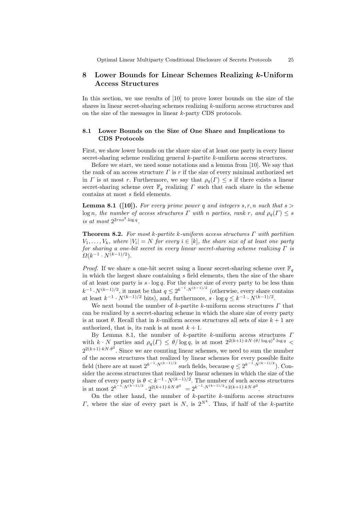## 8 Lower Bounds for Linear Schemes Realizing k-Uniform Access Structures

In this section, we use results of [10] to prove lower bounds on the size of the shares in linear secret-sharing schemes realizing k-uniform access structures and on the size of the messages in linear k-party CDS protocols.

## 8.1 Lower Bounds on the Size of One Share and Implications to CDS Protocols

First, we show lower bounds on the share size of at least one party in every linear secret-sharing scheme realizing general k-partite k-uniform access structures.

Before we start, we need some notations and a lemma from [10]. We say that the rank of an access structure  $\Gamma$  is r if the size of every minimal authorized set in Γ is at most r. Furthermore, we say that  $\rho_q(\Gamma) \leq s$  if there exists a linear secret-sharing scheme over  $\mathbb{F}_q$  realizing  $\Gamma$  such that each share in the scheme contains at most s field elements.

**Lemma 8.1** ([10]). For every prime power q and integers s, r, n such that  $s >$  $\log n$ , the number of access structures  $\Gamma$  with n parties, rank r, and  $\rho_q(\Gamma) \leq s$ is at most  $2^{2rns^2 \cdot \log q}$ .

**Theorem 8.2.** For most k-partite k-uniform access structures  $\Gamma$  with partition  $V_1, \ldots, V_k$ , where  $|V_i| = N$  for every  $i \in [k]$ , the share size of at least one party for sharing a one-bit secret in every linear secret-sharing scheme realizing  $\Gamma$  is  $\Omega(k^{-1} \cdot N^{(k-1)/2}).$ 

*Proof.* If we share a one-bit secret using a linear secret-sharing scheme over  $\mathbb{F}_q$ in which the largest share containing s field elements, then the size of the share of at least one party is  $s \cdot \log q$ . For the share size of every party to be less than  $k^{-1} \cdot N^{(k-1)/2}$ , it must be that  $q \leq 2^{k^{-1} \cdot N^{(k-1)/2}}$  (otherwise, every share contains at least  $k^{-1} \cdot N^{(k-1)/2}$  bits), and, furthermore,  $s \cdot \log q \leq k^{-1} \cdot N^{(k-1)/2}$ .

We next bound the number of k-partite k-uniform access structures  $\Gamma$  that can be realized by a secret-sharing scheme in which the share size of every party is at most  $\theta$ . Recall that in k-uniform access structures all sets of size  $k+1$  are authorized, that is, its rank is at most  $k + 1$ .

By Lemma 8.1, the number of k-partite k-uniform access structures  $\Gamma$ with  $k \cdot N$  parties and  $\rho_q(\Gamma) \leq \theta/\log q$ , is at most  $2^{2(k+1) \cdot k N \cdot (\theta/\log q)^2 \cdot \log q}$  $2^{2(k+1) \cdot k N \cdot \theta^2}$ . Since we are counting linear schemes, we need to sum the number of the access structures that realized by linear schemes for every possible finite field (there are at most  $2^{k^{-1} \cdot N^{(k-1)/2}}$  such fields, because  $q \leq 2^{k^{-1} \cdot N^{(k-1)/2}}$ ). Consider the access structures that realized by linear schemes in which the size of the share of every party is  $\theta < k^{-1} \cdot N^{(k-1)/2}$ . The number of such access structures is at most  $2^{k^{-1} \cdot N^{(k-1)/2}} \cdot 2^{2(k+1) \cdot kN \cdot \theta^2} = 2^{k^{-1} \cdot N^{(k-1)/2} + 2(k+1) \cdot kN \cdot \theta^2}$ .

On the other hand, the number of  $k$ -partite  $k$ -uniform access structures *Γ*, where the size of every part is *N*, is  $2^{N^k}$ . Thus, if half of the k-partite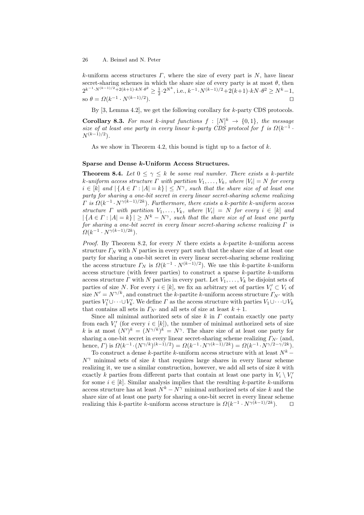k-uniform access structures  $\Gamma$ , where the size of every part is  $N$ , have linear secret-sharing schemes in which the share size of every party is at most  $\theta$ , then  $2^{k^{-1} \cdot N^{(k-1)/2} + 2(k+1) \cdot kN \cdot \theta^2} \ge \frac{1}{2} \cdot 2^{N^k}$ , i.e.,  $k^{-1} \cdot N^{(k-1)/2} + 2(k+1) \cdot kN \cdot \theta^2 \ge N^k - 1$ , so  $\theta = \Omega(k^{-1} \cdot N^{(k-1)/2})$ ).  $\qquad \qquad \Box$ 

By  $[3, \text{Lemma } 4.2]$ , we get the following corollary for k-party CDS protocols.

**Corollary 8.3.** For most k-input functions  $f : [N]^k \rightarrow \{0,1\}$ , the message size of at least one party in every linear k-party CDS protocol for f is  $\Omega(k^{-1}$ .  $N^{(k-1)/2}$ ).

As we show in Theorem 4.2, this bound is tight up to a factor of  $k$ .

## Sparse and Dense k-Uniform Access Structures.

**Theorem 8.4.** Let  $0 \leq \gamma \leq k$  be some real number. There exists a k-partite k-uniform access structure  $\Gamma$  with partition  $V_1, \ldots, V_k$ , where  $|V_i| = N$  for every  $i \in [k]$  and  $|\{A \in \Gamma : |A| = k\}| \leq N^{\gamma}$ , such that the share size of at least one party for sharing a one-bit secret in every linear secret-sharing scheme realizing  $\Gamma$  is  $\Omega(k^{-1} \cdot N^{\gamma(k-1)/2k})$ . Furthermore, there exists a k-partite k-uniform access structure  $\Gamma$  with partition  $V_1, \ldots, V_k$ , where  $|V_i| = N$  for every  $i \in [k]$  and  $|\{A \in \Gamma : |A| = k\}| \geq N^k - N^{\gamma}$ , such that the share size of at least one party for sharing a one-bit secret in every linear secret-sharing scheme realizing  $\Gamma$  is  $\Omega(k^{-1} \cdot N^{\gamma(k-1)/2k}).$ 

*Proof.* By Theorem 8.2, for every N there exists a k-partite k-uniform access structure  $\Gamma_N$  with N parties in every part such that the share size of at least one party for sharing a one-bit secret in every linear secret-sharing scheme realizing the access structure  $\Gamma_N$  is  $\Omega(k^{-1} \cdot N^{(k-1)/2})$ . We use this k-partite k-uniform access structure (with fewer parties) to construct a sparse  $k$ -partite  $k$ -uniform access structure  $\Gamma$  with N parties in every part. Let  $V_1, \ldots, V_k$  be disjoint sets of parties of size N. For every  $i \in [k]$ , we fix an arbitrary set of parties  $V_i' \subset V_i$  of size  $N' = N^{\gamma/k}$ , and construct the k-partite k-uniform access structure  $\Gamma_{N'}$  with parties  $V'_1 \cup \cdots \cup V'_k$ . We define  $\Gamma$  as the access structure with parties  $V_1 \cup \cdots \cup V_k$ that contains all sets in  $\Gamma_{N'}$  and all sets of size at least  $k + 1$ .

Since all minimal authorized sets of size  $k$  in  $\Gamma$  contain exactly one party from each  $V_i'$  (for every  $i \in [k]$ ), the number of minimal authorized sets of size k is at most  $(N')^k = (N^{\gamma/k})^k = N^{\gamma}$ . The share size of at least one party for sharing a one-bit secret in every linear secret-sharing scheme realizing  $\Gamma_{N'}$  (and, hence,  $\Gamma$ ) is  $\Omega(k^{-1} \cdot (N^{\gamma/k})^{(k-1)/2}) = \Omega(k^{-1} \cdot N^{\gamma(k-1)/2k}) = \Omega(k^{-1} \cdot N^{\gamma/2 - \gamma/2k}).$ 

To construct a dense k-partite k-uniform access structure with at least  $N^k$  –  $N^{\gamma}$  minimal sets of size k that requires large shares in every linear scheme realizing it, we use a similar construction, however, we add all sets of size  $k$  with exactly k parties from different parts that contain at least one party in  $V_i \setminus V'_i$ for some  $i \in [k]$ . Similar analysis implies that the resulting k-partite k-uniform access structure has at least  $N^k - N^{\gamma}$  minimal authorized sets of size k and the share size of at least one party for sharing a one-bit secret in every linear scheme realizing this k-partite k-uniform access structure is  $\Omega(k^{-1} \cdot N^{\gamma(k-1)/2k})$ .  $\Box$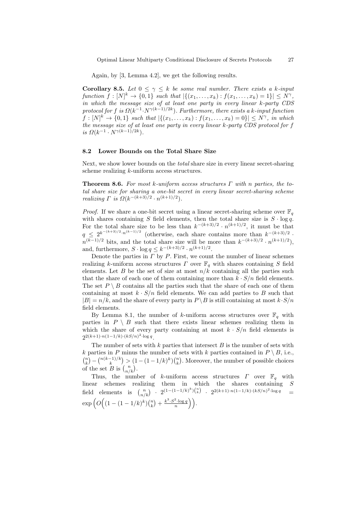Again, by [3, Lemma 4.2], we get the following results.

**Corollary 8.5.** Let  $0 \leq \gamma \leq k$  be some real number. There exists a k-input  $function f: [N]^k \to \{0,1\}$  such that  $|\{(x_1,\ldots,x_k): f(x_1,\ldots,x_k)=1\}| \leq N^{\gamma}$ , in which the message size of at least one party in every linear k-party CDS protocol for f is  $\Omega(k^{-1} \cdot N^{\gamma(k-1)/2k})$ . Furthermore, there exists a k-input function  $f: [N]^k \to \{0,1\}$  such that  $|\{(x_1,\ldots,x_k): f(x_1,\ldots,x_k)=0\}| \le N^{\gamma}$ , in which the message size of at least one party in every linear k-party CDS protocol for f is  $\Omega(k^{-1} \cdot N^{\gamma(k-1)/2k}).$ 

### 8.2 Lower Bounds on the Total Share Size

Next, we show lower bounds on the total share size in every linear secret-sharing scheme realizing k-uniform access structures.

**Theorem 8.6.** For most k-uniform access structures  $\Gamma$  with n parties, the total share size for sharing a one-bit secret in every linear secret-sharing scheme realizing  $\Gamma$  is  $\Omega(k^{-(k+3)/2} \cdot n^{(k+1)/2})$ .

*Proof.* If we share a one-bit secret using a linear secret-sharing scheme over  $\mathbb{F}_q$ with shares containing S field elements, then the total share size is  $S \cdot \log q$ . For the total share size to be less than  $k^{-(k+3)/2} \cdot n^{(k+1)/2}$ , it must be that  $q \leq 2^{k^{-(k+3)/2} \cdot n^{(k-1)/2}}$  (otherwise, each share contains more than  $k^{-(k+3)/2}$ .  $n^{(k-1)/2}$  bits, and the total share size will be more than  $k^{-(k+3)/2} \cdot n^{(k+1)/2}$ , and, furthermore,  $S \cdot \log q \leq k^{-(k+3)/2} \cdot n^{(k+1)/2}$ .

Denote the parties in  $\Gamma$  by  $P$ . First, we count the number of linear schemes realizing k-uniform access structures  $\Gamma$  over  $\mathbb{F}_q$  with shares containing S field elements. Let  $B$  be the set of size at most  $n/k$  containing all the parties such that the share of each one of them containing more than  $k \cdot S/n$  field elements. The set  $P \setminus B$  contains all the parties such that the share of each one of them containing at most  $k \cdot S/n$  field elements. We can add parties to B such that  $|B| = n/k$ , and the share of every party in  $P \setminus B$  is still containing at most  $k \cdot S/n$ field elements.

By Lemma 8.1, the number of k-uniform access structures over  $\mathbb{F}_q$  with parties in  $P \setminus B$  such that there exists linear schemes realizing them in which the share of every party containing at most  $k \cdot S/n$  field elements is  $2^{2(k+1)\cdot n(1-1/k)\cdot (kS/n)^2\cdot \log q}$ .

The number of sets with k parties that intersect  $B$  is the number of sets with k parties in P minus the number of sets with k parties contained in  $P \setminus B$ , i.e.,  $\binom{n}{k} - \binom{n(k-1)/k}{k} > (1 - (1-1/k)^k) \binom{n}{k}$ . Moreover, the number of possible choices of the set B is  $\binom{n}{n/k}$ .

Thus, the number of k-uniform access structures  $\Gamma$  over  $\mathbb{F}_q$  with linear schemes realizing them in which the shares containing S field elements is  $\binom{n}{n/k}$  ·  $2^{(1-(1-1/k)^k)\binom{n}{k}}$  ·  $2^{2(k+1)\cdot n(1-1/k)\cdot (kS/n)^2\cdot \log q}$  =  $\exp\Big(O\Big((1-(1-1/k)^k){n\choose k}+\frac{k^3\cdot S^2\cdot\log q}{n}\Big)\Big).$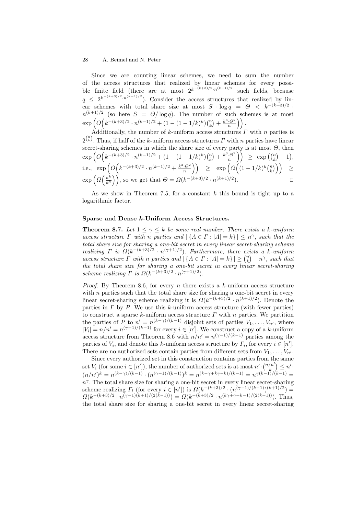Since we are counting linear schemes, we need to sum the number of the access structures that realized by linear schemes for every possible finite field (there are at most  $2^{k^{-(k+3)/2} \cdot n^{(k-1)/2}}$  such fields, because  $q \leq 2^{k^{-(k+3)/2} \cdot n^{(k-1)/2}}$ . Consider the access structures that realized by linear schemes with total share size at most  $S \cdot \log q = \Theta \langle k^{-(k+3)/2} \rangle$ .  $n^{(k+1)/2}$  (so here  $S = \Theta/\log q$ ). The number of such schemes is at most  $\exp\left(O\Big(k^{-(k+3)/2} \cdot n^{(k-1)/2} + (1 - (1-1/k)^k){n \choose k} + \frac{k^3 \cdot \Theta^2}{n}\right)\right).$ 

Additionally, the number of k-uniform access structures  $\Gamma$  with  $n$  parties is  $2^{n \choose k}$ . Thus, if half of the k-uniform access structures  $\Gamma$  with n parties have linear secret-sharing schemes in which the share size of every party is at most  $\Theta$ , then  $\exp\left(O\Bigl(k^{-(k+3)/2}\cdot n^{(k-1)/2}+(1-(1-1/k)^k){n\choose k}+\tfrac{k^3\cdot\Theta^2}{n}\Bigr)\right) \,\,\geq\,\, \exp\bigl({n\choose k}-1\bigr),$ i.e.,  $\exp\left(O\left(k^{-(k+3)/2} \cdot n^{(k-1)/2} + \frac{k^3 \cdot \Theta^2}{n}\right)\right) \quad \geq \quad \exp\left(\varOmega\left((1-1/k)^k {n \choose k}\right)\right) \quad \geq \quad$  $\exp\left(\Omega\left(\frac{n^k}{k^k}\right)\right)$  $\left(\frac{n^k}{k^k}\right)\right)$ , so we get that  $\Theta = \Omega(k^{-(k+3)/2} \cdot n^{(k+1)/2})$ .

As we show in Theorem 7.5, for a constant  $k$  this bound is tight up to a logarithmic factor.

#### Sparse and Dense k-Uniform Access Structures.

**Theorem 8.7.** Let  $1 \leq \gamma \leq k$  be some real number. There exists a k-uniform access structure  $\Gamma$  with n parties and  $|\{A \in \Gamma : |A| = k\}| \leq n^{\gamma}$ , such that the total share size for sharing a one-bit secret in every linear secret-sharing scheme realizing  $\Gamma$  is  $\Omega(k^{-(k+3)/2} \cdot n^{(\gamma+1)/2})$ . Furthermore, there exists a k-uniform access structure  $\Gamma$  with n parties and  $|\{A \in \Gamma : |A| = k\}| \geq {n \choose k} - n^{\gamma}$ , such that the total share size for sharing a one-bit secret in every linear secret-sharing scheme realizing  $\Gamma$  is  $\Omega(k^{-(k+3)/2} \cdot n^{(\gamma+1)/2})$ .

*Proof.* By Theorem 8.6, for every n there exists a k-uniform access structure with  $n$  parties such that the total share size for sharing a one-bit secret in every linear secret-sharing scheme realizing it is  $\Omega(k^{-(k+3)/2} \cdot n^{(k+1)/2})$ . Denote the parties in  $\Gamma$  by  $P$ . We use this  $k$ -uniform access structure (with fewer parties) to construct a sparse k-uniform access structure  $\Gamma$  with n parties. We partition the parties of P to  $n' = n^{(k-\gamma)/(k-1)}$  disjoint sets of parties  $V_1, \ldots, V_{n'}$ , where  $|V_i| = n/n' = n^{(\gamma - 1)/(k-1)}$  for every  $i \in [n']$ . We construct a copy of a k-uniform access structure from Theorem 8.6 with  $n/n' = n^{(\gamma-1)/(k-1)}$  parties among the parties of  $V_i$ , and denote this k-uniform access structure by  $\Gamma_i$ , for every  $i \in [n']$ . There are no authorized sets contain parties from different sets from  $V_1, \ldots, V_{n'}$ .

Since every authorized set in this construction contains parties from the same set  $V_i$  (for some  $i \in [n']$ ), the number of authorized sets is at most  $n' \cdot {n' n' \choose k} \leq n'$ .  $(n/n')^k = n^{(k-\gamma)/(k-1)} \cdot (n^{(\gamma-1)/(k-1)})^k = n^{(k-\gamma+k\gamma-k)/(k-1)} = n^{\gamma(k-1)/(k-1)} =$  $n^{\gamma}$ . The total share size for sharing a one-bit secret in every linear secret-sharing scheme realizing  $\Gamma_i$  (for every  $i \in [n']$ ) is  $\Omega(k^{-(k+3)/2} \cdot (n^{(\gamma-1)/(k-1)})^{(k+1)/2}) =$  $\Omega(k^{-(k+3)/2} \cdot n^{(\gamma-1)(k+1)/(2(k-1))}) = \Omega(k^{-(k+3)/2} \cdot n^{(k\gamma+\gamma-k-1)/(2(k-1))})$ . Thus, the total share size for sharing a one-bit secret in every linear secret-sharing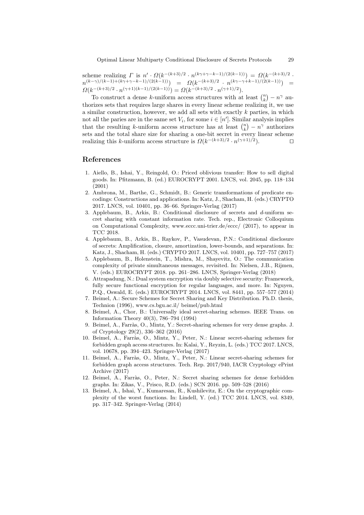scheme realizing  $\Gamma$  is  $n' \cdot \Omega(k^{-(k+3)/2} \cdot n^{(k\gamma+\gamma-k-1)/(2(k-1))}) = \Omega(k^{-(k+3)/2}$ .  $n^{(k-\gamma)/(k-1)+(k\gamma+\gamma-k-1)/(2(k-1))} = \Omega(k^{-(k+3)/2} \, \cdot \, n^{(k\gamma-\gamma+k-1)/(2(k-1))}) =$  $\Omega(k^{-(k+3)/2} \cdot n^{(\gamma+1)(k-1)/(2(k-1))}) = \Omega(k^{-(k+3)/2} \cdot n^{(\gamma+1)/2}).$ 

To construct a dense k-uniform access structures with at least  $\binom{n}{k} - n^{\gamma}$  authorizes sets that requires large shares in every linear scheme realizing it, we use a similar construction, however, we add all sets with exactly  $k$  parties, in which not all the paries are in the same set  $V_i$ , for some  $i \in [n']$ . Similar analysis implies that the resulting k-uniform access structure has at least  $\binom{n}{k} - n^{\gamma}$  authorizes sets and the total share size for sharing a one-bit secret in every linear scheme realizing this k-uniform access structure is  $\Omega(k^{-(k+3)/2} \cdot n^{(\gamma+1)/2})$ .

## References

- 1. Aiello, B., Ishai, Y., Reingold, O.: Priced oblivious transfer: How to sell digital goods. In: Pfitzmann, B. (ed.) EUROCRYPT 2001. LNCS, vol. 2045, pp. 118–134 (2001)
- 2. Ambrona, M., Barthe, G., Schmidt, B.: Generic transformations of predicate encodings: Constructions and applications. In: Katz, J., Shacham, H. (eds.) CRYPTO 2017. LNCS, vol. 10401, pp. 36–66. Springer-Verlag (2017)
- 3. Applebaum, B., Arkis, B.: Conditional disclosure of secrets and d-uniform secret sharing with constant information rate. Tech. rep., Electronic Colloquium on Computational Complexity, www.eccc.uni-trier.de/eccc/ (2017), to appear in TCC 2018.
- 4. Applebaum, B., Arkis, B., Raykov, P., Vasudevan, P.N.: Conditional disclosure of secrets: Amplification, closure, amortization, lower-bounds, and separations. In: Katz, J., Shacham, H. (eds.) CRYPTO 2017. LNCS, vol. 10401, pp. 727–757 (2017)
- 5. Applebaum, B., Holenstein, T., Mishra, M., Shayevitz, O.: The communication complexity of private simultaneous messages, revisited. In: Nielsen, J.B., Rijmen, V. (eds.) EUROCRYPT 2018. pp. 261–286. LNCS, Springer-Verlag (2018)
- 6. Attrapadung, N.: Dual system encryption via doubly selective security: Framework, fully secure functional encryption for regular languages, and more. In: Nguyen, P.Q., Oswald, E. (eds.) EUROCRYPT 2014. LNCS, vol. 8441, pp. 557–577 (2014)
- 7. Beimel, A.: Secure Schemes for Secret Sharing and Key Distribution. Ph.D. thesis, Technion (1996), www.cs.bgu.ac.il/ beimel/pub.html
- 8. Beimel, A., Chor, B.: Universally ideal secret-sharing schemes. IEEE Trans. on Information Theory 40(3), 786–794 (1994)
- 9. Beimel, A., Farràs, O., Mintz, Y.: Secret-sharing schemes for very dense graphs. J. of Cryptology 29(2), 336–362 (2016)
- 10. Beimel, A., Farr`as, O., Mintz, Y., Peter, N.: Linear secret-sharing schemes for forbidden graph access structures. In: Kalai, Y., Reyzin, L. (eds.) TCC 2017. LNCS, vol. 10678, pp. 394–423. Springer-Verlag (2017)
- 11. Beimel, A., Farràs, O., Mintz, Y., Peter, N.: Linear secret-sharing schemes for forbidden graph access structures. Tech. Rep. 2017/940, IACR Cryptology ePrint Archive (2017)
- 12. Beimel, A., Farràs, O., Peter, N.: Secret sharing schemes for dense forbidden graphs. In: Zikas, V., Prisco, R.D. (eds.) SCN 2016. pp. 509–528 (2016)
- 13. Beimel, A., Ishai, Y., Kumaresan, R., Kushilevitz, E.: On the cryptographic complexity of the worst functions. In: Lindell, Y. (ed.) TCC 2014. LNCS, vol. 8349, pp. 317–342. Springer-Verlag (2014)